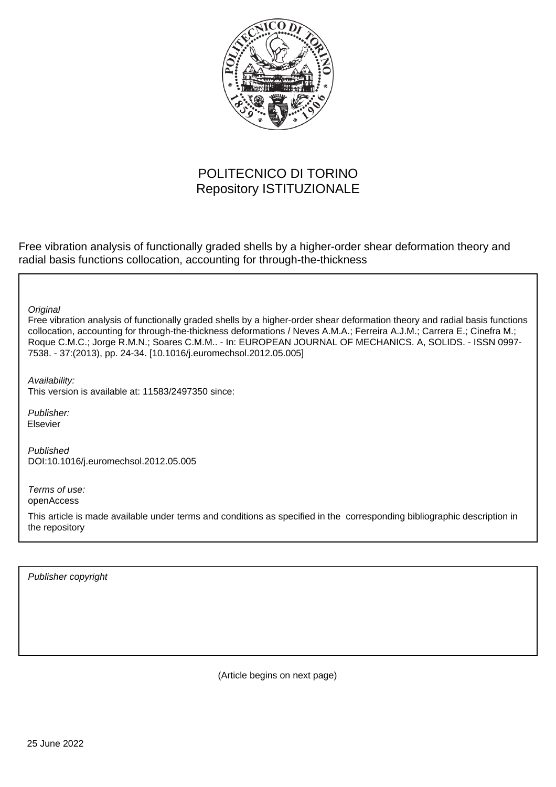

# POLITECNICO DI TORINO Repository ISTITUZIONALE

Free vibration analysis of functionally graded shells by a higher-order shear deformation theory and radial basis functions collocation, accounting for through-the-thickness

**Original** 

Free vibration analysis of functionally graded shells by a higher-order shear deformation theory and radial basis functions collocation, accounting for through-the-thickness deformations / Neves A.M.A.; Ferreira A.J.M.; Carrera E.; Cinefra M.; Roque C.M.C.; Jorge R.M.N.; Soares C.M.M.. - In: EUROPEAN JOURNAL OF MECHANICS. A, SOLIDS. - ISSN 0997- 7538. - 37:(2013), pp. 24-34. [10.1016/j.euromechsol.2012.05.005]

Availability:

This version is available at: 11583/2497350 since:

Publisher: Elsevier

Published DOI:10.1016/j.euromechsol.2012.05.005

Terms of use: openAccess

This article is made available under terms and conditions as specified in the corresponding bibliographic description in the repository

Publisher copyright

(Article begins on next page)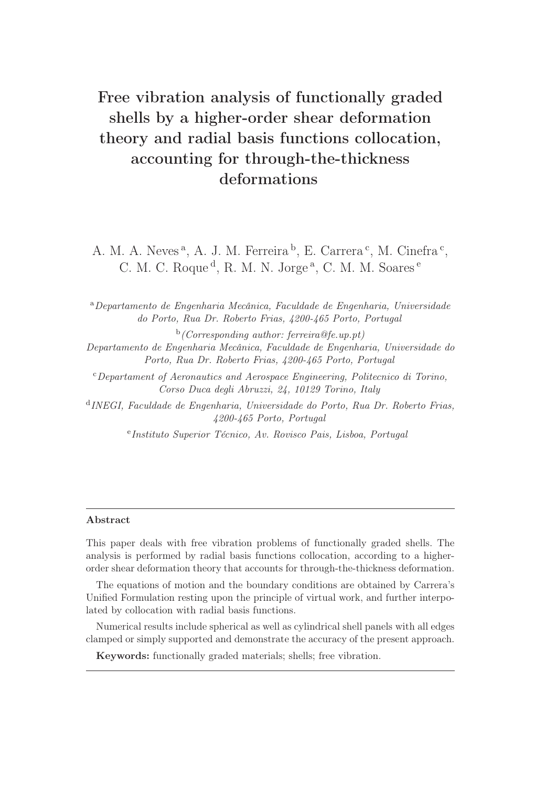# Free vibration analysis of functionally graded shells by a higher-order shear deformation theory and radial basis functions collocation, accounting for through-the-thickness deformations

A. M. A. Neves<sup>a</sup>, A. J. M. Ferreira<sup>b</sup>, E. Carrera<sup>c</sup>, M. Cinefra<sup>c</sup>, C. M. C. Roque<sup>d</sup>, R. M. N. Jorge<sup>a</sup>, C. M. M. Soares<sup>e</sup>

<sup>a</sup>Departamento de Engenharia Mecânica, Faculdade de Engenharia, Universidade do Porto, Rua Dr. Roberto Frias, 4200-465 Porto, Portugal

 $\mathbf{b}$  (Corresponding author: ferreira@fe.up.pt) Departamento de Engenharia Mecânica, Faculdade de Engenharia, Universidade do Porto, Rua Dr. Roberto Frias, 4200-465 Porto, Portugal

<sup>c</sup>Departament of Aeronautics and Aerospace Engineering, Politecnico di Torino, Corso Duca degli Abruzzi, 24, 10129 Torino, Italy

d INEGI, Faculdade de Engenharia, Universidade do Porto, Rua Dr. Roberto Frias, 4200-465 Porto, Portugal

e Instituto Superior Técnico, Av. Rovisco Pais, Lisboa, Portugal

#### Abstract

This paper deals with free vibration problems of functionally graded shells. The analysis is performed by radial basis functions collocation, according to a higherorder shear deformation theory that accounts for through-the-thickness deformation.

The equations of motion and the boundary conditions are obtained by Carrera's Unified Formulation resting upon the principle of virtual work, and further interpolated by collocation with radial basis functions.

Numerical results include spherical as well as cylindrical shell panels with all edges clamped or simply supported and demonstrate the accuracy of the present approach.

Keywords: functionally graded materials; shells; free vibration.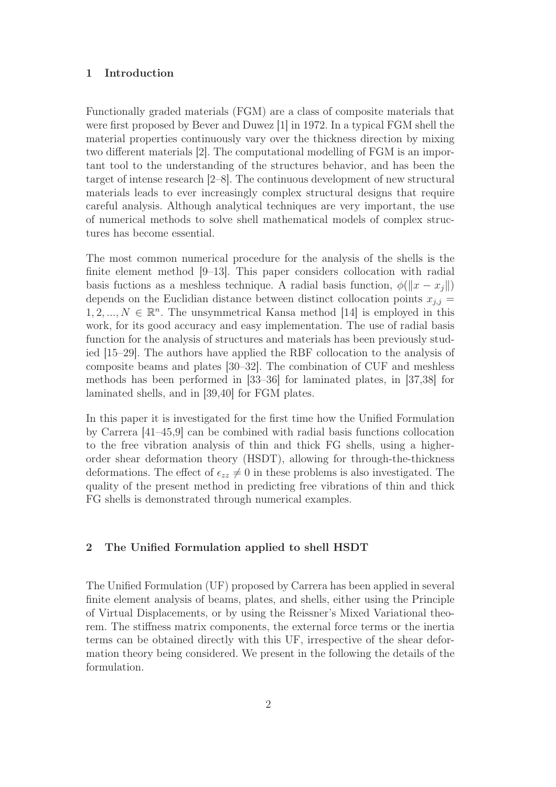#### 1 Introduction

Functionally graded materials (FGM) are a class of composite materials that were first proposed by Bever and Duwez [1] in 1972. In a typical FGM shell the material properties continuously vary over the thickness direction by mixing two different materials [2]. The computational modelling of FGM is an important tool to the understanding of the structures behavior, and has been the target of intense research [2–8]. The continuous development of new structural materials leads to ever increasingly complex structural designs that require careful analysis. Although analytical techniques are very important, the use of numerical methods to solve shell mathematical models of complex structures has become essential.

The most common numerical procedure for the analysis of the shells is the finite element method [9–13]. This paper considers collocation with radial basis fuctions as a meshless technique. A radial basis function,  $\phi(\Vert x - x_i \Vert)$ depends on the Euclidian distance between distinct collocation points  $x_{j,j} =$  $1, 2, ..., N \in \mathbb{R}^n$ . The unsymmetrical Kansa method [14] is employed in this work, for its good accuracy and easy implementation. The use of radial basis function for the analysis of structures and materials has been previously studied [15–29]. The authors have applied the RBF collocation to the analysis of composite beams and plates [30–32]. The combination of CUF and meshless methods has been performed in [33–36] for laminated plates, in [37,38] for laminated shells, and in [39,40] for FGM plates.

In this paper it is investigated for the first time how the Unified Formulation by Carrera [41–45,9] can be combined with radial basis functions collocation to the free vibration analysis of thin and thick FG shells, using a higherorder shear deformation theory (HSDT), allowing for through-the-thickness deformations. The effect of  $\epsilon_{zz} \neq 0$  in these problems is also investigated. The quality of the present method in predicting free vibrations of thin and thick FG shells is demonstrated through numerical examples.

#### 2 The Unified Formulation applied to shell HSDT

The Unified Formulation (UF) proposed by Carrera has been applied in several finite element analysis of beams, plates, and shells, either using the Principle of Virtual Displacements, or by using the Reissner's Mixed Variational theorem. The stiffness matrix components, the external force terms or the inertia terms can be obtained directly with this UF, irrespective of the shear deformation theory being considered. We present in the following the details of the formulation.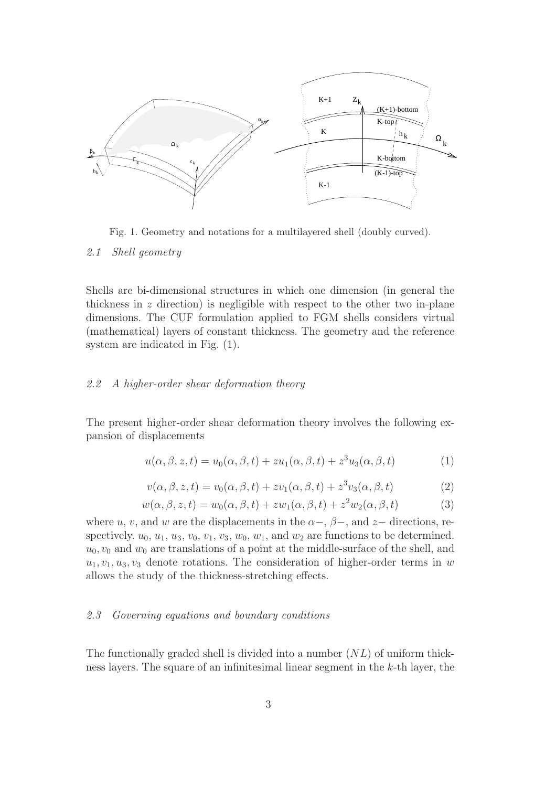

Fig. 1. Geometry and notations for a multilayered shell (doubly curved).

2.1 Shell geometry

Shells are bi-dimensional structures in which one dimension (in general the thickness in  $z$  direction) is negligible with respect to the other two in-plane dimensions. The CUF formulation applied to FGM shells considers virtual (mathematical) layers of constant thickness. The geometry and the reference system are indicated in Fig. (1).

# 2.2 A higher-order shear deformation theory

The present higher-order shear deformation theory involves the following expansion of displacements

$$
u(\alpha, \beta, z, t) = u_0(\alpha, \beta, t) + z u_1(\alpha, \beta, t) + z^3 u_3(\alpha, \beta, t)
$$
\n(1)

$$
v(\alpha, \beta, z, t) = v_0(\alpha, \beta, t) + zv_1(\alpha, \beta, t) + z^3v_3(\alpha, \beta, t)
$$
\n(2)

$$
w(\alpha, \beta, z, t) = w_0(\alpha, \beta, t) + zw_1(\alpha, \beta, t) + z^2 w_2(\alpha, \beta, t)
$$
\n(3)

where u, v, and w are the displacements in the  $\alpha$ -,  $\beta$ -, and z- directions, respectively.  $u_0, u_1, u_3, v_0, v_1, v_3, w_0, w_1$ , and  $w_2$  are functions to be determined.  $u_0, v_0$  and  $w_0$  are translations of a point at the middle-surface of the shell, and  $u_1, v_1, u_3, v_3$  denote rotations. The consideration of higher-order terms in w allows the study of the thickness-stretching effects.

#### 2.3 Governing equations and boundary conditions

The functionally graded shell is divided into a number  $(NL)$  of uniform thickness layers. The square of an infinitesimal linear segment in the k-th layer, the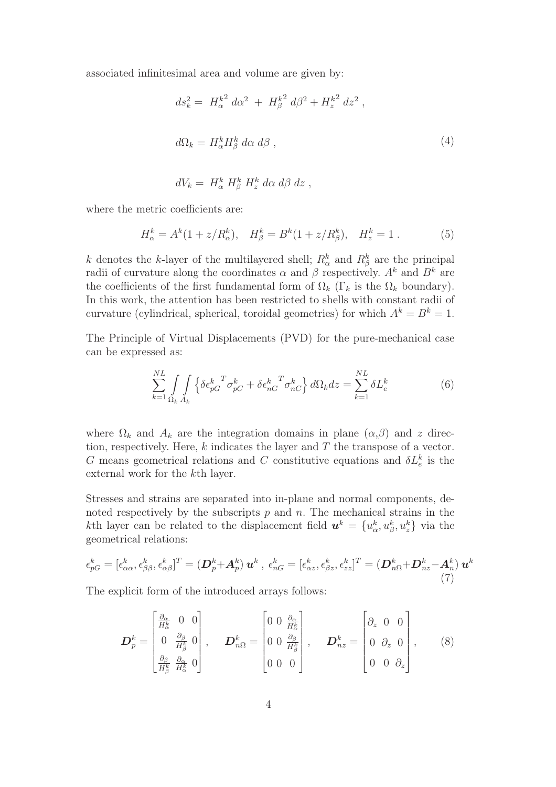associated infinitesimal area and volume are given by:

$$
ds_k^2 = H_\alpha^{k^2} d\alpha^2 + H_\beta^{k^2} d\beta^2 + H_z^{k^2} dz^2,
$$
  

$$
d\Omega_k = H_\alpha^k H_\beta^k d\alpha d\beta,
$$
 (4)

$$
dV_k = H^k_\alpha H^k_\beta H^k_z d\alpha d\beta dz,
$$

where the metric coefficients are:

$$
H_{\alpha}^{k} = A^{k}(1 + z/R_{\alpha}^{k}), \quad H_{\beta}^{k} = B^{k}(1 + z/R_{\beta}^{k}), \quad H_{z}^{k} = 1.
$$
 (5)

k denotes the k-layer of the multilayered shell;  $R_{\alpha}^{k}$  and  $R_{\beta}^{k}$  are the principal radii of curvature along the coordinates  $\alpha$  and  $\beta$  respectively.  $A^k$  and  $B^k$  are the coefficients of the first fundamental form of  $\Omega_k$  (Γ<sub>k</sub> is the  $\Omega_k$  boundary). In this work, the attention has been restricted to shells with constant radii of curvature (cylindrical, spherical, toroidal geometries) for which  $A^k = B^k = 1$ .

The Principle of Virtual Displacements (PVD) for the pure-mechanical case can be expressed as:

$$
\sum_{k=1}^{NL} \int_{\Omega_k} \int_{A_k} \left\{ \delta \epsilon_{pG}^k{}^T \sigma_{pC}^k + \delta \epsilon_{nG}^k{}^T \sigma_{nC}^k \right\} d\Omega_k dz = \sum_{k=1}^{NL} \delta L_e^k \tag{6}
$$

where  $\Omega_k$  and  $A_k$  are the integration domains in plane  $(\alpha,\beta)$  and z direction, respectively. Here,  $k$  indicates the layer and  $T$  the transpose of a vector. G means geometrical relations and C constitutive equations and  $\delta L_e^k$  is the external work for the kth layer.

Stresses and strains are separated into in-plane and normal components, denoted respectively by the subscripts  $p$  and  $n$ . The mechanical strains in the kth layer can be related to the displacement field  $u^k = \{u^k_{\alpha}, u^k_{\beta}, u^k_{z}\}\$  via the geometrical relations:

$$
\epsilon_{pG}^k = [\epsilon_{\alpha\alpha}^k, \epsilon_{\beta\beta}^k, \epsilon_{\alpha\beta}^k]^T = (\boldsymbol{D}_p^k + \boldsymbol{A}_p^k) \boldsymbol{u}^k , \ \epsilon_{nG}^k = [\epsilon_{\alpha z}^k, \epsilon_{\beta z}^k, \epsilon_{zz}^k]^T = (\boldsymbol{D}_{n\Omega}^k + \boldsymbol{D}_{nz}^k - \boldsymbol{A}_n^k) \boldsymbol{u}^k
$$
\n(7)

The explicit form of the introduced arrays follows:

$$
\boldsymbol{D}_{p}^{k} = \begin{bmatrix} \frac{\partial_{\alpha}}{H_{\alpha}^{k}} & 0 & 0 \\ 0 & \frac{\partial_{\beta}}{H_{\beta}^{k}} & 0 \\ \frac{\partial_{\beta}}{H_{\beta}^{k}} & \frac{\partial_{\alpha}}{H_{\alpha}^{k}} & 0 \end{bmatrix}, \qquad \boldsymbol{D}_{n\Omega}^{k} = \begin{bmatrix} 0 & 0 & \frac{\partial_{\alpha}}{H_{\alpha}^{k}} \\ 0 & 0 & \frac{\partial_{\beta}}{H_{\beta}^{k}} \\ 0 & 0 & 0 \end{bmatrix}, \qquad \boldsymbol{D}_{nz}^{k} = \begin{bmatrix} \partial_{z} & 0 & 0 \\ 0 & \partial_{z} & 0 \\ 0 & 0 & \partial_{z} \end{bmatrix}, \qquad (8)
$$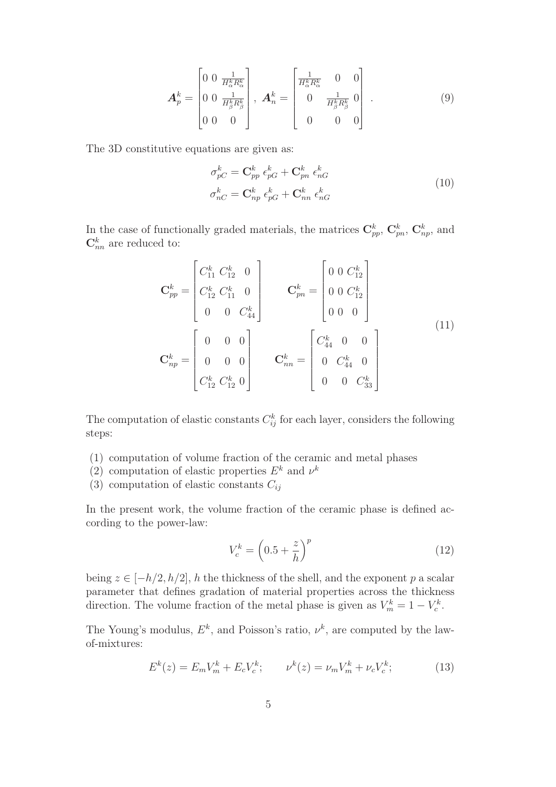$$
\mathbf{A}_{p}^{k} = \begin{bmatrix} 0 & 0 & \frac{1}{H_{\alpha}^{k} R_{\alpha}^{k}} \\ 0 & 0 & \frac{1}{H_{\beta}^{k} R_{\beta}^{k}} \\ 0 & 0 & 0 \end{bmatrix}, \ \mathbf{A}_{n}^{k} = \begin{bmatrix} \frac{1}{H_{\alpha}^{k} R_{\alpha}^{k}} & 0 & 0 \\ 0 & \frac{1}{H_{\beta}^{k} R_{\beta}^{k}} & 0 \\ 0 & 0 & 0 \end{bmatrix} . \tag{9}
$$

The 3D constitutive equations are given as:

$$
\sigma_{pC}^{k} = \mathbf{C}_{pp}^{k} \epsilon_{pG}^{k} + \mathbf{C}_{pn}^{k} \epsilon_{nG}^{k}
$$
\n
$$
\sigma_{nC}^{k} = \mathbf{C}_{np}^{k} \epsilon_{pG}^{k} + \mathbf{C}_{nn}^{k} \epsilon_{nG}^{k}
$$
\n(10)

In the case of functionally graded materials, the matrices  $\mathbf{C}_{pp}^k$ ,  $\mathbf{C}_{pn}^k$ ,  $\mathbf{C}_{np}^k$ , and  $\mathbf{C}_{nn}^k$  are reduced to:

$$
\mathbf{C}_{pp}^{k} = \begin{bmatrix} C_{11}^{k} & C_{12}^{k} & 0 \\ C_{12}^{k} & C_{11}^{k} & 0 \\ 0 & 0 & C_{44}^{k} \end{bmatrix} \qquad \mathbf{C}_{pn}^{k} = \begin{bmatrix} 0 & 0 & C_{12}^{k} \\ 0 & 0 & C_{12}^{k} \\ 0 & 0 & 0 \end{bmatrix}
$$
\n
$$
\mathbf{C}_{np}^{k} = \begin{bmatrix} 0 & 0 & 0 \\ 0 & 0 & 0 \\ 0 & 0 & 0 \\ C_{12}^{k} & C_{12}^{k} & 0 \end{bmatrix} \qquad \mathbf{C}_{nn}^{k} = \begin{bmatrix} C_{44}^{k} & 0 & 0 \\ 0 & C_{44}^{k} & 0 \\ 0 & 0 & C_{33}^{k} \end{bmatrix}
$$
\n(11)

The computation of elastic constants  $C_{ij}^k$  for each layer, considers the following steps:

- (1) computation of volume fraction of the ceramic and metal phases
- (2) computation of elastic properties  $E^k$  and  $\nu^k$
- (3) computation of elastic constants  $C_{ij}$

In the present work, the volume fraction of the ceramic phase is defined according to the power-law:

$$
V_c^k = \left(0.5 + \frac{z}{h}\right)^p\tag{12}
$$

being  $z \in [-h/2, h/2]$ , h the thickness of the shell, and the exponent p a scalar parameter that defines gradation of material properties across the thickness direction. The volume fraction of the metal phase is given as  $V_m^k = 1 - V_c^k$ .

The Young's modulus,  $E^k$ , and Poisson's ratio,  $\nu^k$ , are computed by the lawof-mixtures:

$$
E^{k}(z) = E_{m}V_{m}^{k} + E_{c}V_{c}^{k}; \qquad \nu^{k}(z) = \nu_{m}V_{m}^{k} + \nu_{c}V_{c}^{k}; \qquad (13)
$$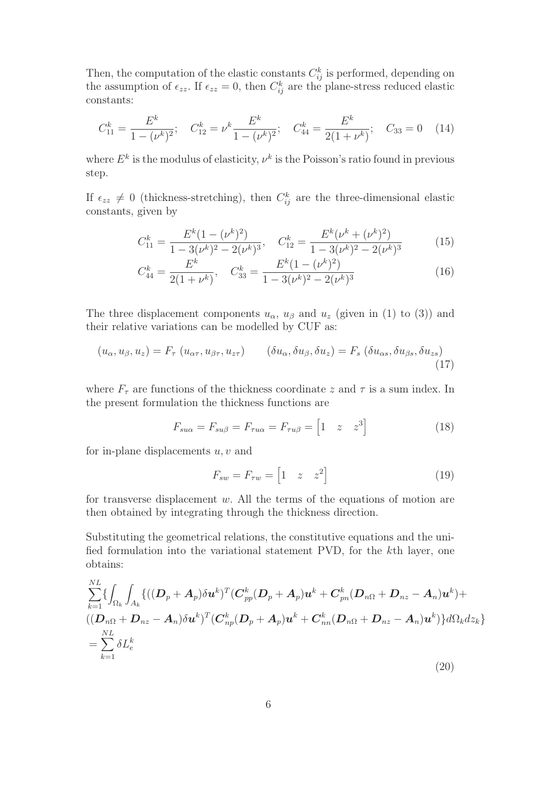Then, the computation of the elastic constants  $C_{ij}^k$  is performed, depending on the assumption of  $\epsilon_{zz}$ . If  $\epsilon_{zz} = 0$ , then  $C_{ij}^k$  are the plane-stress reduced elastic constants:

$$
C_{11}^{k} = \frac{E^{k}}{1 - (\nu^{k})^{2}}; \quad C_{12}^{k} = \nu^{k} \frac{E^{k}}{1 - (\nu^{k})^{2}}; \quad C_{44}^{k} = \frac{E^{k}}{2(1 + \nu^{k})}; \quad C_{33} = 0 \quad (14)
$$

where  $E^k$  is the modulus of elasticity,  $\nu^k$  is the Poisson's ratio found in previous step.

If  $\epsilon_{zz} \neq 0$  (thickness-stretching), then  $C_{ij}^k$  are the three-dimensional elastic constants, given by

$$
C_{11}^{k} = \frac{E^{k}(1 - (\nu^{k})^{2})}{1 - 3(\nu^{k})^{2} - 2(\nu^{k})^{3}}, \quad C_{12}^{k} = \frac{E^{k}(\nu^{k} + (\nu^{k})^{2})}{1 - 3(\nu^{k})^{2} - 2(\nu^{k})^{3}}
$$
(15)

$$
C_{44}^{k} = \frac{E^{k}}{2(1+\nu^{k})}, \quad C_{33}^{k} = \frac{E^{k}(1-(\nu^{k})^{2})}{1-3(\nu^{k})^{2}-2(\nu^{k})^{3}}
$$
(16)

The three displacement components  $u_{\alpha}$ ,  $u_{\beta}$  and  $u_{z}$  (given in (1) to (3)) and their relative variations can be modelled by CUF as:

$$
(u_{\alpha}, u_{\beta}, u_z) = F_{\tau} (u_{\alpha\tau}, u_{\beta\tau}, u_{z\tau}) \qquad (\delta u_{\alpha}, \delta u_{\beta}, \delta u_z) = F_s (\delta u_{\alpha s}, \delta u_{\beta s}, \delta u_{z s}) \tag{17}
$$

where  $F_{\tau}$  are functions of the thickness coordinate z and  $\tau$  is a sum index. In the present formulation the thickness functions are

$$
F_{s u\alpha} = F_{s u\beta} = F_{\tau u\alpha} = F_{\tau u\beta} = \begin{bmatrix} 1 & z & z^3 \end{bmatrix}
$$
 (18)

for in-plane displacements  $u, v$  and

$$
F_{sw} = F_{\tau w} = \begin{bmatrix} 1 & z & z^2 \end{bmatrix} \tag{19}
$$

for transverse displacement  $w$ . All the terms of the equations of motion are then obtained by integrating through the thickness direction.

Substituting the geometrical relations, the constitutive equations and the unified formulation into the variational statement PVD, for the kth layer, one obtains:

$$
\sum_{k=1}^{NL} \{ \int_{\Omega_k} \int_{A_k} \{ ((\boldsymbol{D}_p + \boldsymbol{A}_p) \delta \boldsymbol{u}^k)^T (\boldsymbol{C}_{pp}^k (\boldsymbol{D}_p + \boldsymbol{A}_p) \boldsymbol{u}^k + \boldsymbol{C}_{pn}^k (\boldsymbol{D}_{n\Omega} + \boldsymbol{D}_{nz} - \boldsymbol{A}_n) \boldsymbol{u}^k) + \\ ((\boldsymbol{D}_{n\Omega} + \boldsymbol{D}_{nz} - \boldsymbol{A}_n) \delta \boldsymbol{u}^k)^T (\boldsymbol{C}_{np}^k (\boldsymbol{D}_p + \boldsymbol{A}_p) \boldsymbol{u}^k + \boldsymbol{C}_{nn}^k (\boldsymbol{D}_{n\Omega} + \boldsymbol{D}_{nz} - \boldsymbol{A}_n) \boldsymbol{u}^k) \} d\Omega_k dz_k \} \\ = \sum_{k=1}^{NL} \delta L_e^k
$$
\n(20)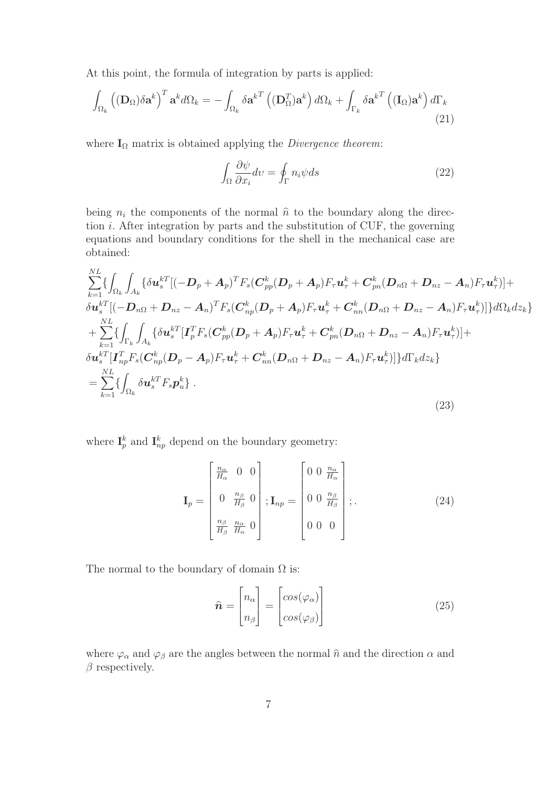At this point, the formula of integration by parts is applied:

$$
\int_{\Omega_k} \left( (\mathbf{D}_{\Omega}) \delta \mathbf{a}^k \right)^T \mathbf{a}^k d\Omega_k = - \int_{\Omega_k} \delta \mathbf{a}^{k} \left( (\mathbf{D}_{\Omega}^T) \mathbf{a}^k \right) d\Omega_k + \int_{\Gamma_k} \delta \mathbf{a}^{k} \left( (\mathbf{I}_{\Omega}) \mathbf{a}^k \right) d\Gamma_k
$$
\n(21)

where  $I_{\Omega}$  matrix is obtained applying the *Divergence theorem*:

$$
\int_{\Omega} \frac{\partial \psi}{\partial x_i} dv = \oint_{\Gamma} n_i \psi ds \tag{22}
$$

being  $n_i$  the components of the normal  $\hat{n}$  to the boundary along the direction  $i$ . After integration by parts and the substitution of CUF, the governing equations and boundary conditions for the shell in the mechanical case are obtained:

$$
\sum_{k=1}^{NL} \left\{ \int_{\Omega_k} \int_{A_k} \left\{ \delta \mathbf{u}_s^{kT} [(-\mathbf{D}_p + \mathbf{A}_p)^T F_s (\mathbf{C}_{pp}^k (\mathbf{D}_p + \mathbf{A}_p) F_\tau \mathbf{u}_\tau^k + \mathbf{C}_{pn}^k (\mathbf{D}_{n\Omega} + \mathbf{D}_{nz} - \mathbf{A}_n) F_\tau \mathbf{u}_\tau^k \right) ] + \delta \mathbf{u}_s^{kT} [(-\mathbf{D}_{n\Omega} + \mathbf{D}_{nz} - \mathbf{A}_n)^T F_s (\mathbf{C}_{np}^k (\mathbf{D}_p + \mathbf{A}_p) F_\tau \mathbf{u}_\tau^k + \mathbf{C}_{nn}^k (\mathbf{D}_{n\Omega} + \mathbf{D}_{nz} - \mathbf{A}_n) F_\tau \mathbf{u}_\tau^k) ] \right\} d\Omega_k dz_k \}\n+ \sum_{k=1}^{NL} \left\{ \int_{\Gamma_k} \int_{A_k} \left\{ \delta \mathbf{u}_s^{kT} [\mathbf{I}_p^T F_s (\mathbf{C}_{pp}^k (\mathbf{D}_p + \mathbf{A}_p) F_\tau \mathbf{u}_\tau^k + \mathbf{C}_{pn}^k (\mathbf{D}_{n\Omega} + \mathbf{D}_{nz} - \mathbf{A}_n) F_\tau \mathbf{u}_\tau^k) ] + \right. \right\} d\mathbf{x}_s^{kT} [\mathbf{I}_{np}^T F_s (\mathbf{C}_{np}^k (\mathbf{D}_p - \mathbf{A}_p) F_\tau \mathbf{u}_\tau^k + \mathbf{C}_{nn}^k (\mathbf{D}_{n\Omega} + \mathbf{D}_{nz} - \mathbf{A}_n) F_\tau \mathbf{u}_\tau^k) ] \right\} d\Gamma_k dz_k \}\n= \sum_{k=1}^{NL} \left\{ \int_{\Omega_k} \delta \mathbf{u}_s^{kT} F_s \mathbf{p}_u^k \right\}. \tag{23}
$$

where  $\mathbf{I}_p^k$  and  $\mathbf{I}_{np}^k$  depend on the boundary geometry:

$$
\mathbf{I}_{p} = \begin{bmatrix} \frac{n_{\alpha}}{H_{\alpha}} & 0 & 0\\ 0 & \frac{n_{\beta}}{H_{\beta}} & 0\\ \frac{n_{\beta}}{H_{\beta}} & \frac{n_{\alpha}}{H_{\alpha}} & 0 \end{bmatrix}; \mathbf{I}_{np} = \begin{bmatrix} 0 & 0 & \frac{n_{\alpha}}{H_{\alpha}}\\ 0 & 0 & \frac{n_{\beta}}{H_{\beta}}\\ 0 & 0 & 0 \end{bmatrix};
$$
(24)

The normal to the boundary of domain  $\Omega$  is:

$$
\hat{n} = \begin{bmatrix} n_{\alpha} \\ n_{\beta} \end{bmatrix} = \begin{bmatrix} \cos(\varphi_{\alpha}) \\ \cos(\varphi_{\beta}) \end{bmatrix}
$$
\n(25)

where  $\varphi_{\alpha}$  and  $\varphi_{\beta}$  are the angles between the normal  $\hat{n}$  and the direction  $\alpha$  and  $\beta$  respectively.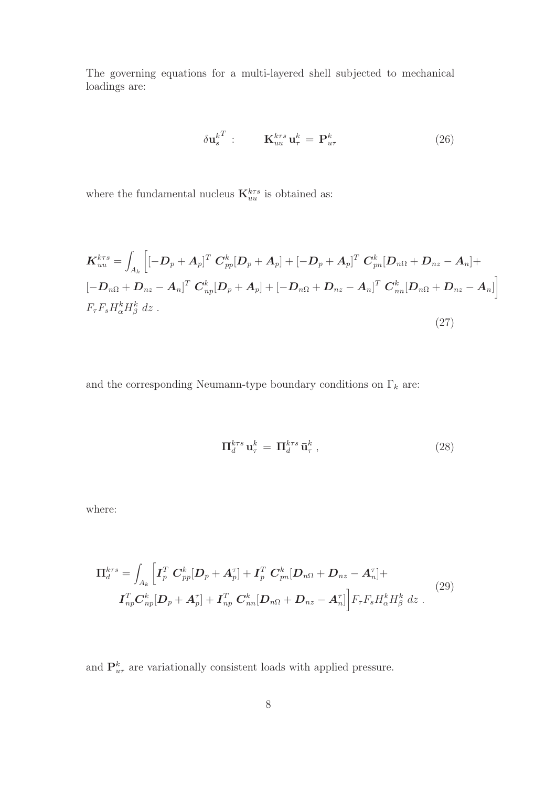The governing equations for a multi-layered shell subjected to mechanical loadings are:

$$
\delta \mathbf{u}_s^{kT} : \qquad \mathbf{K}_{uu}^{krs} \mathbf{u}_\tau^k = \mathbf{P}_{u\tau}^k \tag{26}
$$

where the fundamental nucleus  $\mathbf{K}^{k\tau s}_{uu}$  is obtained as:

$$
\boldsymbol{K}_{uu}^{krs} = \int_{A_k} \left[ \left[ -\boldsymbol{D}_p + \boldsymbol{A}_p \right]^T \boldsymbol{C}_{pp}^k [\boldsymbol{D}_p + \boldsymbol{A}_p] + \left[ -\boldsymbol{D}_p + \boldsymbol{A}_p \right]^T \boldsymbol{C}_{pn}^k [\boldsymbol{D}_{n\Omega} + \boldsymbol{D}_{nz} - \boldsymbol{A}_n] + \right. \\ \left. \left[ -\boldsymbol{D}_{n\Omega} + \boldsymbol{D}_{nz} - \boldsymbol{A}_n \right]^T \boldsymbol{C}_{np}^k [\boldsymbol{D}_p + \boldsymbol{A}_p] + \left[ -\boldsymbol{D}_{n\Omega} + \boldsymbol{D}_{nz} - \boldsymbol{A}_n \right]^T \boldsymbol{C}_{nn}^k [\boldsymbol{D}_{n\Omega} + \boldsymbol{D}_{nz} - \boldsymbol{A}_n] \right] \\ F_{\tau} F_s H_{\alpha}^k H_{\beta}^k dz \ . \tag{27}
$$

and the corresponding Neumann-type boundary conditions on  $\Gamma_k$  are:

$$
\Pi_d^{k\tau s} \mathbf{u}_\tau^k = \Pi_d^{k\tau s} \mathbf{\bar{u}}_\tau^k , \qquad (28)
$$

where:

$$
\Pi_d^{k\tau s} = \int_{A_k} \left[ \boldsymbol{I}_p^T \ \boldsymbol{C}_{pp}^k [\boldsymbol{D}_p + \boldsymbol{A}_p^{\tau}] + \boldsymbol{I}_p^T \ \boldsymbol{C}_{pn}^k [\boldsymbol{D}_{n\Omega} + \boldsymbol{D}_{nz} - \boldsymbol{A}_n^{\tau}] + \right. \\
\left. \boldsymbol{I}_{np}^T \boldsymbol{C}_{np}^k [\boldsymbol{D}_p + \boldsymbol{A}_p^{\tau}] + \boldsymbol{I}_{np}^T \ \boldsymbol{C}_{nn}^k [\boldsymbol{D}_{n\Omega} + \boldsymbol{D}_{nz} - \boldsymbol{A}_n^{\tau}] \right] F_{\tau} F_s H_{\alpha}^k H_{\beta}^k dz \ .
$$
\n(29)

and  $\mathbf{P}_{u\tau}^{k}$  are variationally consistent loads with applied pressure.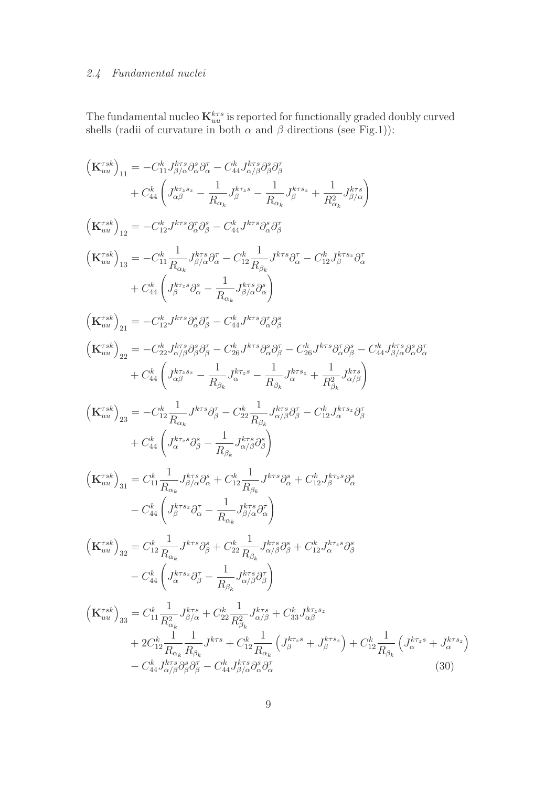# 2.4 Fundamental nuclei

The fundamental nucleo  $\mathbf{K}_{uu}^{k\tau s}$  is reported for functionally graded doubly curved shells (radii of curvature in both  $\alpha$  and  $\beta$  directions (see Fig.1)):

$$
\begin{split} \left(\mathbf{K}_{uu}^{rsk}\right)_{11} & = -C_{11}^{k}J_{\beta/6}^{kr}\partial_{\alpha}^{s}\partial_{\alpha}^{r} - C_{14}^{k}J_{\alpha/6}^{kr}\partial_{\beta}^{s}\partial_{\beta}^{r} \\ & + C_{44}^{k}\left(J_{\alpha\beta}^{kr,s} - \frac{1}{R_{\alpha_{k}}}J_{\beta}^{kr,s} - \frac{1}{R_{\alpha_{k}}}J_{\beta}^{kr,s} + \frac{1}{R_{\alpha_{k}}}J_{\beta/\alpha}^{kr}\right) \\ \left(\mathbf{K}_{uu}^{rsk}\right)_{12} & = -C_{12}^{k}J^{krs}\partial_{\alpha}^{r}\partial_{\beta}^{s} - C_{44}^{k}J^{krs}\partial_{\alpha}^{s}\partial_{\beta}^{r} \\ & \left(\mathbf{K}_{uu}^{rsk}\right)_{13} = -C_{11}^{k}\frac{1}{R_{\alpha_{k}}}J_{\beta/6}^{kr}\partial_{\alpha}^{r} - C_{12}^{k}\frac{1}{R_{\beta_{k}}}J^{krs}\partial_{\alpha}^{r} - C_{12}^{k}J_{\beta}^{krs}\partial_{\alpha}^{r} \\ & + C_{44}^{k}\left(J_{\beta}^{kr,s}\partial_{\alpha}^{s} - \frac{1}{R_{\alpha_{k}}}J_{\beta/6}^{kr}\partial_{\alpha}^{s}\right) \\ \left(\mathbf{K}_{uu}^{rsk}\right)_{21} & = -C_{12}^{k}J^{krs}\partial_{\alpha}^{s}\partial_{\beta}^{r} - C_{44}^{k}J^{krs}\partial_{\alpha}^{r}\partial_{\beta}^{s} \\ & \left(\mathbf{K}_{uu}^{rsk}\right)_{22} & = -C_{22}^{k}J_{\alpha/6}^{kr}\partial_{\beta}^{s}\partial_{\beta}^{r} - C_{26}^{k}J^{krs}\partial_{\alpha}^{s}\partial_{\beta}^{r} - C_{26}^{k}J^{krs}\partial_{\alpha}^{s}\partial_{\beta}^{s} \\ & + C_{44}^{k}\left(J_{\alpha\beta}^{kr,s} - \frac{1}{R_{\beta_{k}}}J_{\alpha}^{kr,s} - \frac{1}{R_{\beta_{k}}}J_{\alpha}^{kr,s} + \frac{1}{R_{\beta_{k}}}J_{\alpha}^{kr,s}\partial_{\alpha}^{s}\partial_{\beta}^{r
$$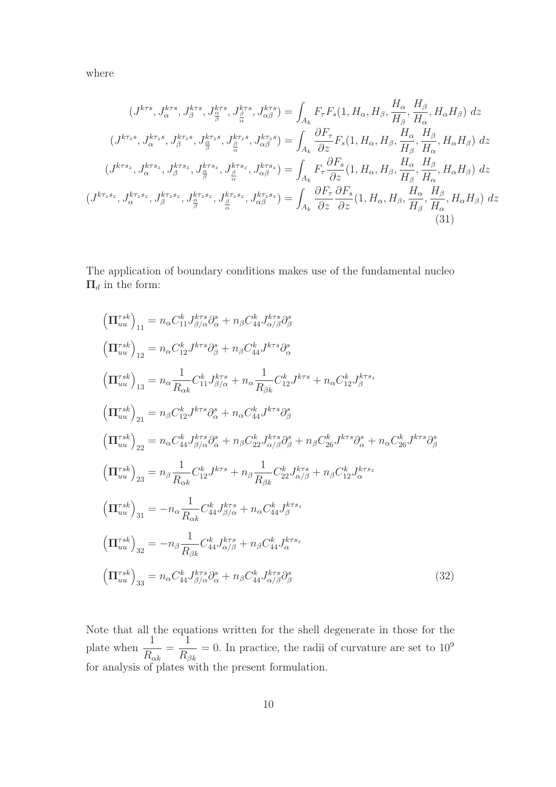where

$$
(J^{k\tau s}, J^{k\tau s}_{\alpha}, J^{k\tau s}_{\beta}, J^{k\tau s}_{\beta}, J^{k\tau s}_{\alpha}, J^{k\tau s}_{\alpha}, J^{k\tau s}_{\alpha}) = \int_{A_{k}} F_{\tau} F_{s}(1, H_{\alpha}, H_{\beta}, \frac{H_{\alpha}}{H_{\beta}}, \frac{H_{\beta}}{H_{\alpha}}, H_{\alpha} H_{\beta}) dz
$$
  

$$
(J^{k\tau_{z}s}, J^{k\tau_{z}s}_{\alpha}, J^{k\tau_{z}s}_{\beta}, J^{k\tau_{z}s}_{\frac{\alpha}{\beta}}, J^{k\tau_{z}s}_{\frac{\beta}{\alpha}}, J^{k\tau_{z}s}_{\alpha\beta}) = \int_{A_{k}} \frac{\partial F_{\tau}}{\partial z} F_{s}(1, H_{\alpha}, H_{\beta}, \frac{H_{\alpha}}{H_{\beta}}, \frac{H_{\beta}}{H_{\alpha}}, H_{\alpha} H_{\beta}) dz
$$
  

$$
(J^{k\tau s_{z}}, J^{k\tau s_{z}}, J^{k\tau s_{z}}, J^{k\tau s_{z}}_{\beta}, J^{k\tau s_{z}}_{\frac{\alpha}{\beta}}, J^{k\tau s_{z}}_{\frac{\alpha}{\alpha}}, J^{k\tau s_{z}}_{\alpha\beta}) = \int_{A_{k}} F_{\tau} \frac{\partial F_{s}}{\partial z}(1, H_{\alpha}, H_{\beta}, \frac{H_{\alpha}}{H_{\beta}}, \frac{H_{\beta}}{H_{\alpha}}, H_{\alpha} H_{\beta}) dz
$$
  

$$
(J^{k\tau_{z}s_{z}}, J^{k\tau_{z}s_{z}}, J^{k\tau_{z}s_{z}}_{\beta}, J^{k\tau_{z}s_{z}}_{\frac{\alpha}{\alpha}}, J^{k\tau_{z}s_{z}}_{\frac{\alpha}{\alpha}}, J^{k\tau_{z}s_{z}}_{\alpha\beta}) = \int_{A_{k}} \frac{\partial F_{\tau}}{\partial z} \frac{\partial F_{s}}{\partial z}(1, H_{\alpha}, H_{\beta}, \frac{H_{\alpha}}{H_{\beta}}, \frac{H_{\beta}}{H_{\alpha}}, H_{\alpha} H_{\beta}) dz
$$
  
(31)

The application of boundary conditions makes use of the fundamental nucleo  $\Pi_d$  in the form:

$$
\left(\Pi_{uu}^{rsk}\right)_{11} = n_{\alpha}C_{11}^{k}J_{\beta/\alpha}^{krs}\partial_{\alpha}^{s} + n_{\beta}C_{44}^{k}J_{\alpha/\beta}^{krs}\partial_{\beta}^{s}
$$
\n
$$
\left(\Pi_{uu}^{rsk}\right)_{12} = n_{\alpha}C_{12}^{k}J^{krs}\partial_{\beta}^{s} + n_{\beta}C_{44}^{k}J^{krs}\partial_{\alpha}^{s}
$$
\n
$$
\left(\Pi_{uu}^{rsk}\right)_{13} = n_{\alpha}\frac{1}{R_{\alpha k}}C_{11}^{k}J_{\beta/\alpha}^{krs} + n_{\alpha}\frac{1}{R_{\beta k}}C_{12}^{k}J^{krs} + n_{\alpha}C_{12}^{k}J_{\beta}^{krs}
$$
\n
$$
\left(\Pi_{uu}^{rsk}\right)_{21} = n_{\beta}C_{12}^{k}J^{krs}\partial_{\alpha}^{s} + n_{\alpha}C_{44}^{k}J^{krs}\partial_{\beta}^{s}
$$
\n
$$
\left(\Pi_{uu}^{rsk}\right)_{22} = n_{\alpha}C_{44}^{k}J_{\beta/\alpha}^{krs}\partial_{\alpha}^{s} + n_{\beta}C_{22}^{k}J_{\alpha/\beta}^{krs}\partial_{\beta}^{s} + n_{\beta}C_{26}^{k}J^{krs}\partial_{\alpha}^{s} + n_{\alpha}C_{26}^{k}J^{krs}\partial_{\beta}^{s}
$$
\n
$$
\left(\Pi_{uu}^{rsk}\right)_{23} = n_{\beta}\frac{1}{R_{\alpha k}}C_{12}^{k}J^{krs} + n_{\beta}\frac{1}{R_{\beta k}}C_{22}^{k}J_{\alpha/\beta}^{krs} + n_{\beta}C_{12}^{k}J_{\alpha}^{krs}
$$
\n
$$
\left(\Pi_{uu}^{rsk}\right)_{31} = -n_{\alpha}\frac{1}{R_{\alpha k}}C_{44}^{k}J_{\beta/\alpha}^{krs} + n_{\alpha}C_{44}^{k}J_{\beta}^{krs}
$$
\n
$$
\left(\Pi_{uu}^{rsk}\right)_{32} = n_{\beta}\frac{1}{R_{\beta k}}C_{44}^{k}J_{\alpha/\beta}^{krs} + n_{\beta}
$$

Note that all the equations written for the shell degenerate in those for the plate when  $\frac{1}{R}$  $R_{\alpha k}$ = 1  $R_{\beta k}$  $= 0$ . In practice, the radii of curvature are set to  $10<sup>9</sup>$ for analysis of plates with the present formulation.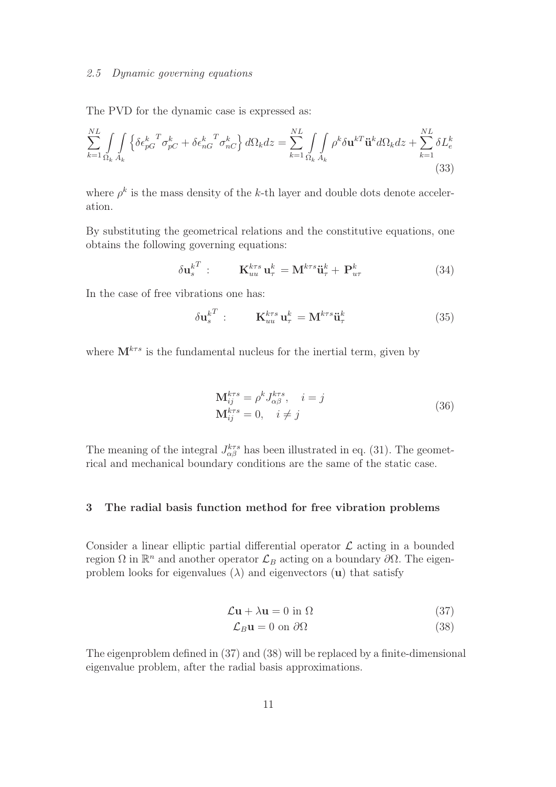#### 2.5 Dynamic governing equations

The PVD for the dynamic case is expressed as:

$$
\sum_{k=1}^{NL} \int_{\Omega_k} \int_{A_k} \left\{ \delta \epsilon_{pG}^{k} \sigma_{pC}^T + \delta \epsilon_{nG}^{k} \sigma_{nC}^k \right\} d\Omega_k dz = \sum_{k=1}^{NL} \int_{\Omega_k} \int_{A_k} \rho^k \delta \mathbf{u}^{kT} \ddot{\mathbf{u}}^k d\Omega_k dz + \sum_{k=1}^{NL} \delta L_e^k
$$
\n(33)

where  $\rho^k$  is the mass density of the k-th layer and double dots denote acceleration.

By substituting the geometrical relations and the constitutive equations, one obtains the following governing equations:

$$
\delta \mathbf{u}_s^{kT} : \qquad \mathbf{K}_{uu}^{k\tau s} \mathbf{u}_\tau^k = \mathbf{M}^{k\tau s} \ddot{\mathbf{u}}_\tau^k + \mathbf{P}_{u\tau}^k \tag{34}
$$

In the case of free vibrations one has:

$$
\delta \mathbf{u}_s^{kT} : \qquad \mathbf{K}_{uu}^{k\tau s} \mathbf{u}_\tau^k = \mathbf{M}^{k\tau s} \ddot{\mathbf{u}}_\tau^k \tag{35}
$$

where  $\mathbf{M}^{k\tau s}$  is the fundamental nucleus for the inertial term, given by

$$
\mathbf{M}_{ij}^{k\tau s} = \rho^k J_{\alpha\beta}^{k\tau s}, \quad i = j
$$
  
\n
$$
\mathbf{M}_{ij}^{k\tau s} = 0, \quad i \neq j
$$
\n(36)

The meaning of the integral  $J_{\alpha\beta}^{k\tau s}$  has been illustrated in eq. (31). The geometrical and mechanical boundary conditions are the same of the static case.

# 3 The radial basis function method for free vibration problems

Consider a linear elliptic partial differential operator  $\mathcal L$  acting in a bounded region Ω in  $\mathbb{R}^n$  and another operator  $\mathcal{L}_B$  acting on a boundary  $\partial\Omega$ . The eigenproblem looks for eigenvalues  $(\lambda)$  and eigenvectors (u) that satisfy

$$
\mathcal{L}\mathbf{u} + \lambda \mathbf{u} = 0 \text{ in } \Omega \tag{37}
$$

$$
\mathcal{L}_B \mathbf{u} = 0 \text{ on } \partial \Omega \tag{38}
$$

The eigenproblem defined in (37) and (38) will be replaced by a finite-dimensional eigenvalue problem, after the radial basis approximations.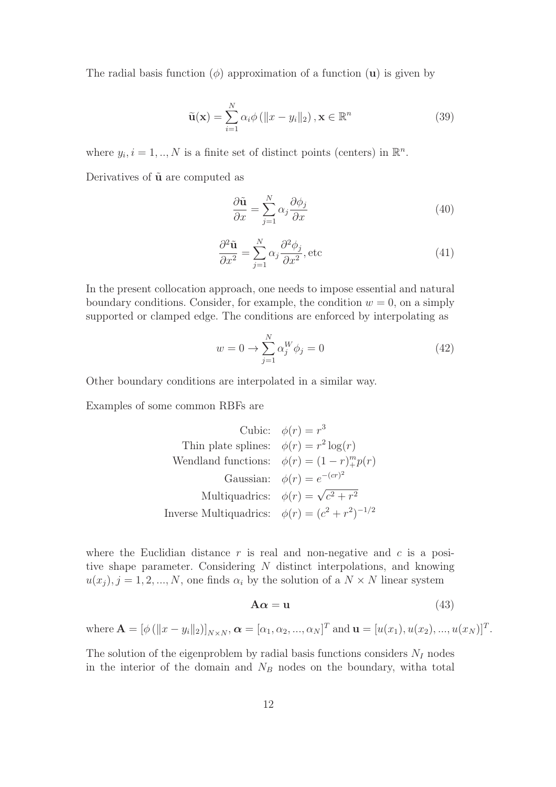The radial basis function ( $\phi$ ) approximation of a function (**u**) is given by

$$
\tilde{\mathbf{u}}(\mathbf{x}) = \sum_{i=1}^{N} \alpha_i \phi \left( ||x - y_i||_2 \right), \mathbf{x} \in \mathbb{R}^n \tag{39}
$$

where  $y_i$ ,  $i = 1, ..., N$  is a finite set of distinct points (centers) in  $\mathbb{R}^n$ .

Derivatives of  $\tilde{u}$  are computed as

$$
\frac{\partial \tilde{\mathbf{u}}}{\partial x} = \sum_{j=1}^{N} \alpha_j \frac{\partial \phi_j}{\partial x}
$$
(40)

$$
\frac{\partial^2 \tilde{\mathbf{u}}}{\partial x^2} = \sum_{j=1}^N \alpha_j \frac{\partial^2 \phi_j}{\partial x^2}, \text{etc}
$$
 (41)

In the present collocation approach, one needs to impose essential and natural boundary conditions. Consider, for example, the condition  $w = 0$ , on a simply supported or clamped edge. The conditions are enforced by interpolating as

$$
w = 0 \to \sum_{j=1}^{N} \alpha_j^W \phi_j = 0 \tag{42}
$$

Other boundary conditions are interpolated in a similar way.

Examples of some common RBFs are

Cubic: 
$$
\phi(r) = r^3
$$

\nThink the following equations:

\n
$$
\phi(r) = r^2 \log(r)
$$
\nWendland functions:

\n
$$
\phi(r) = (1 - r)^m p(r)
$$
\nGaussian: 
$$
\phi(r) = e^{-(cr)^2}
$$

\nMultiquadrics: 
$$
\phi(r) = \sqrt{c^2 + r^2}
$$

\nInverse Multiquadrics: 
$$
\phi(r) = (c^2 + r^2)^{-1/2}
$$

where the Euclidian distance  $r$  is real and non-negative and  $c$  is a positive shape parameter. Considering N distinct interpolations, and knowing  $u(x_j)$ ,  $j = 1, 2, ..., N$ , one finds  $\alpha_i$  by the solution of a  $N \times N$  linear system

$$
A\alpha = u \tag{43}
$$

where  $\mathbf{A} = [\phi (\|x - y_i\|_2)]_{N \times N}, \boldsymbol{\alpha} = [\alpha_1, \alpha_2, ..., \alpha_N]^T$  and  $\mathbf{u} = [u(x_1), u(x_2), ..., u(x_N)]^T$ .

The solution of the eigenproblem by radial basis functions considers  $N_I$  nodes in the interior of the domain and  $N_B$  nodes on the boundary, witha total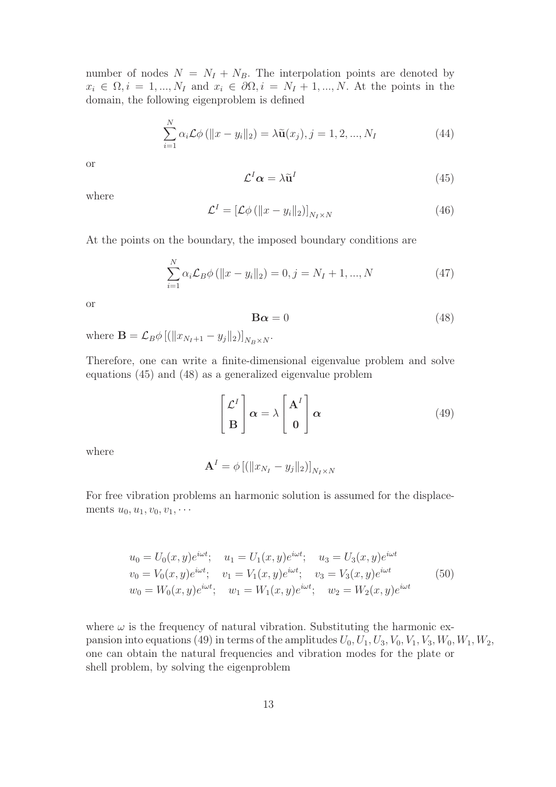number of nodes  $N = N_I + N_B$ . The interpolation points are denoted by  $x_i \in \Omega, i = 1, ..., N_I$  and  $x_i \in \partial\Omega, i = N_I + 1, ..., N$ . At the points in the domain, the following eigenproblem is defined

$$
\sum_{i=1}^{N} \alpha_i \mathcal{L} \phi \left( \|x - y_i\|_2 \right) = \lambda \tilde{\mathbf{u}}(x_j), j = 1, 2, ..., N_I
$$
 (44)

or

$$
\mathcal{L}^I \alpha = \lambda \tilde{\mathbf{u}}^I \tag{45}
$$

where

$$
\mathcal{L}^{I} = \left[ \mathcal{L}\phi \left( ||x - y_{i}||_{2} \right) \right]_{N_{I} \times N} \tag{46}
$$

At the points on the boundary, the imposed boundary conditions are

$$
\sum_{i=1}^{N} \alpha_i \mathcal{L}_B \phi \left( \|x - y_i\|_2 \right) = 0, j = N_I + 1, ..., N \tag{47}
$$

or

$$
\mathbf{B}\alpha = 0\tag{48}
$$

where  $\mathbf{B} = \mathcal{L}_B \phi \left[ \left( ||x_{N_I+1} - y_j||_2 \right) \right]_{N_B \times N}$ .

Therefore, one can write a finite-dimensional eigenvalue problem and solve equations (45) and (48) as a generalized eigenvalue problem

$$
\begin{bmatrix} \mathcal{L}^I \\ \mathbf{B} \end{bmatrix} \alpha = \lambda \begin{bmatrix} \mathbf{A}^I \\ \mathbf{0} \end{bmatrix} \alpha
$$
 (49)

where

$$
\mathbf{A}^I = \phi\left[ (\|x_{N_I} - y_j\|_2) \right]_{N_I \times N}
$$

For free vibration problems an harmonic solution is assumed for the displacements  $u_0, u_1, v_0, v_1, \cdots$ 

$$
u_0 = U_0(x, y)e^{i\omega t}; \quad u_1 = U_1(x, y)e^{i\omega t}; \quad u_3 = U_3(x, y)e^{i\omega t}
$$
  
\n
$$
v_0 = V_0(x, y)e^{i\omega t}; \quad v_1 = V_1(x, y)e^{i\omega t}; \quad v_3 = V_3(x, y)e^{i\omega t}
$$
  
\n
$$
w_0 = W_0(x, y)e^{i\omega t}; \quad w_1 = W_1(x, y)e^{i\omega t}; \quad w_2 = W_2(x, y)e^{i\omega t}
$$
 (50)

where  $\omega$  is the frequency of natural vibration. Substituting the harmonic expansion into equations (49) in terms of the amplitudes  $U_0, U_1, U_3, V_0, V_1, V_3, W_0, W_1, W_2$ , one can obtain the natural frequencies and vibration modes for the plate or shell problem, by solving the eigenproblem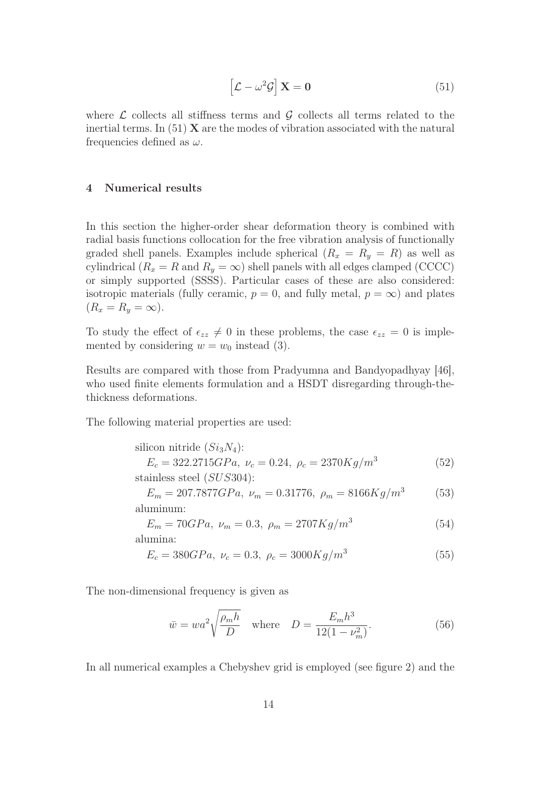$$
\left[\mathcal{L} - \omega^2 \mathcal{G}\right] \mathbf{X} = \mathbf{0} \tag{51}
$$

where  $\mathcal L$  collects all stiffness terms and  $\mathcal G$  collects all terms related to the inertial terms. In  $(51)$  X are the modes of vibration associated with the natural frequencies defined as  $\omega$ .

#### 4 Numerical results

In this section the higher-order shear deformation theory is combined with radial basis functions collocation for the free vibration analysis of functionally graded shell panels. Examples include spherical  $(R_x = R_y = R)$  as well as cylindrical ( $R_x = R$  and  $R_y = \infty$ ) shell panels with all edges clamped (CCCC) or simply supported (SSSS). Particular cases of these are also considered: isotropic materials (fully ceramic,  $p = 0$ , and fully metal,  $p = \infty$ ) and plates  $(R_x = R_y = \infty).$ 

To study the effect of  $\epsilon_{zz} \neq 0$  in these problems, the case  $\epsilon_{zz} = 0$  is implemented by considering  $w = w_0$  instead (3).

Results are compared with those from Pradyumna and Bandyopadhyay [46], who used finite elements formulation and a HSDT disregarding through-thethickness deformations.

The following material properties are used:

silicon nitride 
$$
(Si_3N_4)
$$
:  
\n $E_c = 322.2715GPa, \nu_c = 0.24, \rho_c = 2370Kg/m^3$  (52)  
\nstainless steel  $(SUS304)$ :

$$
E_m = 207.7877GPa, \ \nu_m = 0.31776, \ \rho_m = 8166Kg/m^3 \tag{53}
$$
aluminum:

$$
E_m = 70GPa, \ \nu_m = 0.3, \ \rho_m = 2707Kg/m^3 \tag{54}
$$
alumina:

$$
E_c = 380GPa, \ \nu_c = 0.3, \ \rho_c = 3000Kg/m^3 \tag{55}
$$

The non-dimensional frequency is given as

$$
\bar{w} = wa^2 \sqrt{\frac{\rho_m h}{D}} \quad \text{where} \quad D = \frac{E_m h^3}{12(1 - \nu_m^2)}.
$$
\n
$$
(56)
$$

In all numerical examples a Chebyshev grid is employed (see figure 2) and the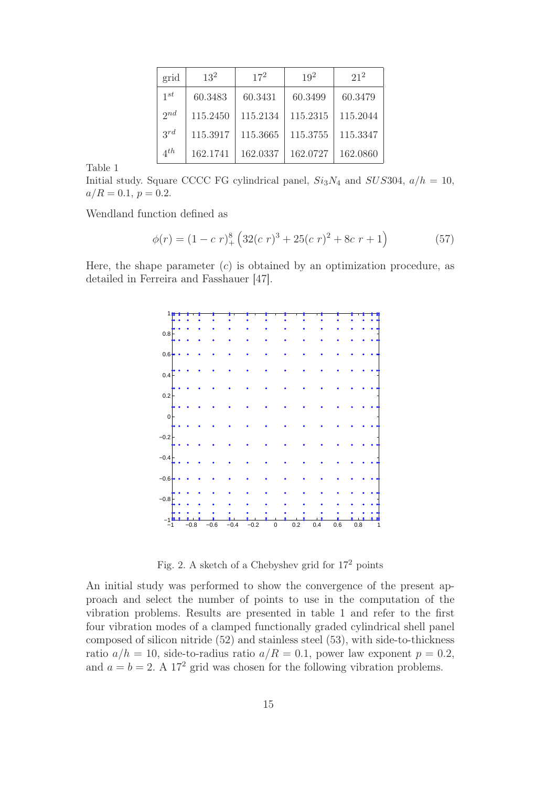| grid             | $13^2$   | $17^{2}$ | $19^{2}$ | $21^2$   |
|------------------|----------|----------|----------|----------|
| $1^{st}$         | 60.3483  | 60.3431  | 60.3499  | 60.3479  |
| $2^{nd}$         | 115.2450 | 115.2134 | 115.2315 | 115.2044 |
| $3^{rd}$         | 115.3917 | 115.3665 | 115.3755 | 115.3347 |
| $\varDelta^{th}$ | 162.1741 | 162.0337 | 162.0727 | 162.0860 |

Initial study. Square CCCC FG cylindrical panel,  $Si<sub>3</sub>N<sub>4</sub>$  and  $SUS304$ ,  $a/h = 10$ ,  $a/R = 0.1, p = 0.2.$ 

Wendland function defined as

$$
\phi(r) = (1 - c \ r)^8_+ \left( 32(c \ r)^3 + 25(c \ r)^2 + 8c \ r + 1 \right) \tag{57}
$$

Here, the shape parameter  $(c)$  is obtained by an optimization procedure, as detailed in Ferreira and Fasshauer [47].

| 1           |  |        |        |        |        |           |     |         |     |         |  |
|-------------|--|--------|--------|--------|--------|-----------|-----|---------|-----|---------|--|
|             |  |        |        |        |        |           |     |         |     |         |  |
| 0.8         |  |        |        |        |        |           |     |         |     |         |  |
|             |  |        |        |        |        |           |     |         |     |         |  |
| 0.6         |  |        |        |        |        |           |     |         |     |         |  |
|             |  |        |        |        |        |           |     |         |     |         |  |
| 0.4         |  |        |        |        |        |           |     |         |     |         |  |
|             |  |        |        |        |        |           |     |         |     |         |  |
| 0.2         |  |        |        |        |        |           |     |         |     |         |  |
|             |  |        |        |        |        |           |     |         |     |         |  |
| $\mathbf 0$ |  |        |        |        |        |           |     |         |     |         |  |
|             |  |        |        |        |        |           |     |         |     |         |  |
| $-0.2$      |  |        |        |        |        |           |     |         |     |         |  |
|             |  |        |        |        |        |           |     |         |     |         |  |
| $-0.4$      |  |        |        |        |        |           |     |         |     |         |  |
|             |  |        |        |        |        |           |     |         |     |         |  |
|             |  |        |        |        |        |           |     |         |     |         |  |
| $-0.6$      |  |        |        |        |        |           |     |         |     |         |  |
|             |  |        |        |        |        |           |     |         |     |         |  |
| $-0.8$      |  |        |        |        |        |           |     |         |     |         |  |
|             |  |        |        |        |        |           |     |         |     |         |  |
| -1          |  | $-0.8$ | $-0.6$ | $-0.4$ | $-0.2$ | $\pmb{0}$ | 0.2 | $0.4\,$ | 0.6 | $0.8\,$ |  |

Fig. 2. A sketch of a Chebyshev grid for  $17^2$  points

An initial study was performed to show the convergence of the present approach and select the number of points to use in the computation of the vibration problems. Results are presented in table 1 and refer to the first four vibration modes of a clamped functionally graded cylindrical shell panel composed of silicon nitride (52) and stainless steel (53), with side-to-thickness ratio  $a/h = 10$ , side-to-radius ratio  $a/R = 0.1$ , power law exponent  $p = 0.2$ , and  $a = b = 2$ . A 17<sup>2</sup> grid was chosen for the following vibration problems.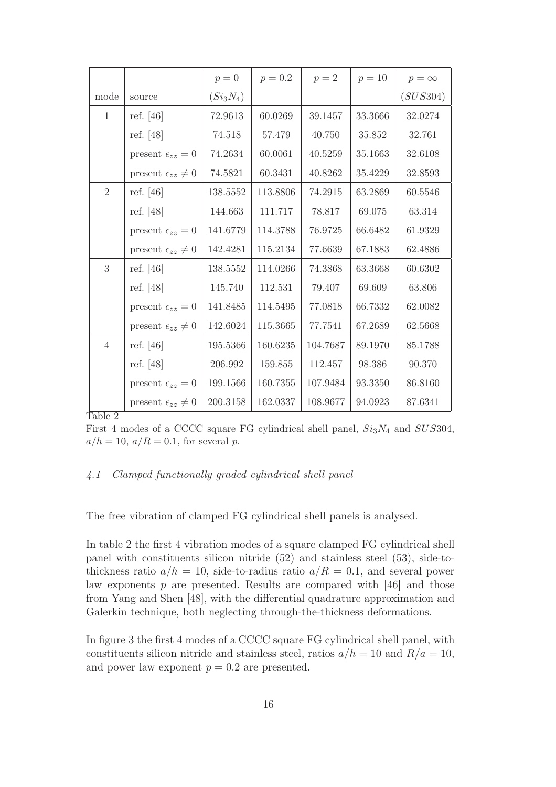|                |                                | $p=0$       | $p = 0.2$ | $p=2$    | $p = 10$ | $p = \infty$ |
|----------------|--------------------------------|-------------|-----------|----------|----------|--------------|
| mode           | source                         | $(Si_3N_4)$ |           |          |          | (SUS304)     |
| $\mathbf{1}$   | ref. $[46]$                    | 72.9613     | 60.0269   | 39.1457  | 33.3666  | 32.0274      |
|                | ref. $[48]$                    | 74.518      | 57.479    | 40.750   | 35.852   | 32.761       |
|                | present $\epsilon_{zz} = 0$    | 74.2634     | 60.0061   | 40.5259  | 35.1663  | 32.6108      |
|                | present $\epsilon_{zz} \neq 0$ | 74.5821     | 60.3431   | 40.8262  | 35.4229  | 32.8593      |
| $\overline{2}$ | ref. $[46]$                    | 138.5552    | 113.8806  | 74.2915  | 63.2869  | 60.5546      |
|                | ref. $[48]$                    | 144.663     | 111.717   | 78.817   | 69.075   | 63.314       |
|                | present $\epsilon_{zz} = 0$    | 141.6779    | 114.3788  | 76.9725  | 66.6482  | 61.9329      |
|                | present $\epsilon_{zz} \neq 0$ | 142.4281    | 115.2134  | 77.6639  | 67.1883  | 62.4886      |
| 3              | ref. $[46]$                    | 138.5552    | 114.0266  | 74.3868  | 63.3668  | 60.6302      |
|                | ref. [48]                      | 145.740     | 112.531   | 79.407   | 69.609   | 63.806       |
|                | present $\epsilon_{zz} = 0$    | 141.8485    | 114.5495  | 77.0818  | 66.7332  | 62.0082      |
|                | present $\epsilon_{zz} \neq 0$ | 142.6024    | 115.3665  | 77.7541  | 67.2689  | 62.5668      |
| $\overline{4}$ | ref. $[46]$                    | 195.5366    | 160.6235  | 104.7687 | 89.1970  | 85.1788      |
|                | ref. [48]                      | 206.992     | 159.855   | 112.457  | 98.386   | 90.370       |
|                | present $\epsilon_{zz} = 0$    | 199.1566    | 160.7355  | 107.9484 | 93.3350  | 86.8160      |
|                | present $\epsilon_{zz} \neq 0$ | 200.3158    | 162.0337  | 108.9677 | 94.0923  | 87.6341      |

First 4 modes of a CCCC square FG cylindrical shell panel,  $Si<sub>3</sub>N<sub>4</sub>$  and  $SUS304$ ,  $a/h = 10$ ,  $a/R = 0.1$ , for several p.

## 4.1 Clamped functionally graded cylindrical shell panel

The free vibration of clamped FG cylindrical shell panels is analysed.

In table 2 the first 4 vibration modes of a square clamped FG cylindrical shell panel with constituents silicon nitride (52) and stainless steel (53), side-tothickness ratio  $a/h = 10$ , side-to-radius ratio  $a/R = 0.1$ , and several power law exponents  $p$  are presented. Results are compared with [46] and those from Yang and Shen [48], with the differential quadrature approximation and Galerkin technique, both neglecting through-the-thickness deformations.

In figure 3 the first 4 modes of a CCCC square FG cylindrical shell panel, with constituents silicon nitride and stainless steel, ratios  $a/h = 10$  and  $R/a = 10$ , and power law exponent  $p = 0.2$  are presented.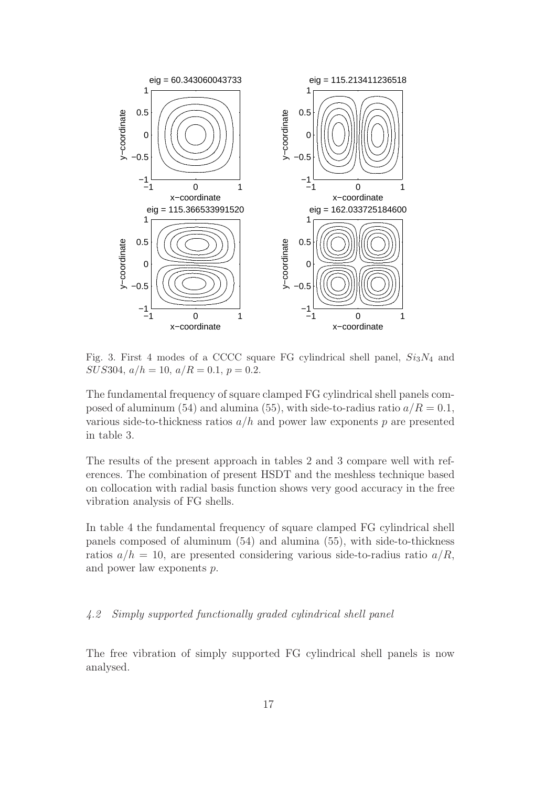

Fig. 3. First 4 modes of a CCCC square FG cylindrical shell panel,  $Si<sub>3</sub>N<sub>4</sub>$  and  $SUS304, a/h = 10, a/R = 0.1, p = 0.2.$ 

The fundamental frequency of square clamped FG cylindrical shell panels composed of aluminum (54) and alumina (55), with side-to-radius ratio  $a/R = 0.1$ , various side-to-thickness ratios  $a/h$  and power law exponents p are presented in table 3.

The results of the present approach in tables 2 and 3 compare well with references. The combination of present HSDT and the meshless technique based on collocation with radial basis function shows very good accuracy in the free vibration analysis of FG shells.

In table 4 the fundamental frequency of square clamped FG cylindrical shell panels composed of aluminum (54) and alumina (55), with side-to-thickness ratios  $a/h = 10$ , are presented considering various side-to-radius ratio  $a/R$ , and power law exponents p.

## 4.2 Simply supported functionally graded cylindrical shell panel

The free vibration of simply supported FG cylindrical shell panels is now analysed.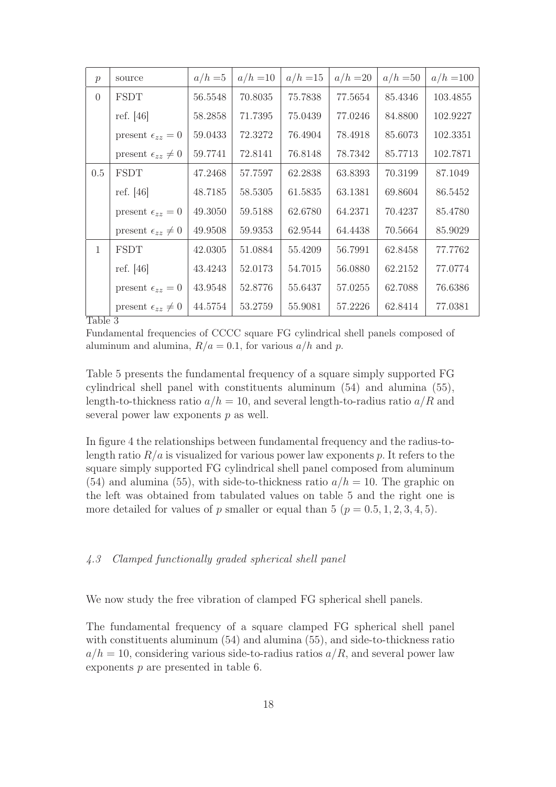| $\mathcal{p}$ | source                         | $a/h = 5$ | $a/h = 10$ | $a/h = 15$ | $a/h = 20$ | $a/h = 50$ | $a/h = 100$ |
|---------------|--------------------------------|-----------|------------|------------|------------|------------|-------------|
| $\Omega$      | <b>FSDT</b>                    | 56.5548   | 70.8035    | 75.7838    | 77.5654    | 85.4346    | 103.4855    |
|               | ref. $[46]$                    | 58.2858   | 71.7395    | 75.0439    | 77.0246    | 84.8800    | 102.9227    |
|               | present $\epsilon_{zz} = 0$    | 59.0433   | 72.3272    | 76.4904    | 78.4918    | 85.6073    | 102.3351    |
|               | present $\epsilon_{zz} \neq 0$ | 59.7741   | 72.8141    | 76.8148    | 78.7342    | 85.7713    | 102.7871    |
| 0.5           | <b>FSDT</b>                    | 47.2468   | 57.7597    | 62.2838    | 63.8393    | 70.3199    | 87.1049     |
|               | ref. $[46]$                    | 48.7185   | 58.5305    | 61.5835    | 63.1381    | 69.8604    | 86.5452     |
|               | present $\epsilon_{zz} = 0$    | 49.3050   | 59.5188    | 62.6780    | 64.2371    | 70.4237    | 85.4780     |
|               | present $\epsilon_{zz} \neq 0$ | 49.9508   | 59.9353    | 62.9544    | 64.4438    | 70.5664    | 85.9029     |
| $\mathbf{1}$  | <b>FSDT</b>                    | 42.0305   | 51.0884    | 55.4209    | 56.7991    | 62.8458    | 77.7762     |
|               | ref. $[46]$                    | 43.4243   | 52.0173    | 54.7015    | 56.0880    | 62.2152    | 77.0774     |
|               | present $\epsilon_{zz} = 0$    | 43.9548   | 52.8776    | 55.6437    | 57.0255    | 62.7088    | 76.6386     |
|               | present $\epsilon_{zz} \neq 0$ | 44.5754   | 53.2759    | 55.9081    | 57.2226    | 62.8414    | 77.0381     |

Fundamental frequencies of CCCC square FG cylindrical shell panels composed of aluminum and alumina,  $R/a = 0.1$ , for various  $a/h$  and p.

Table 5 presents the fundamental frequency of a square simply supported FG cylindrical shell panel with constituents aluminum (54) and alumina (55), length-to-thickness ratio  $a/h = 10$ , and several length-to-radius ratio  $a/R$  and several power law exponents  $p$  as well.

In figure 4 the relationships between fundamental frequency and the radius-tolength ratio  $R/a$  is visualized for various power law exponents p. It refers to the square simply supported FG cylindrical shell panel composed from aluminum (54) and alumina (55), with side-to-thickness ratio  $a/h = 10$ . The graphic on the left was obtained from tabulated values on table 5 and the right one is more detailed for values of p smaller or equal than 5 ( $p = 0.5, 1, 2, 3, 4, 5$ ).

## 4.3 Clamped functionally graded spherical shell panel

We now study the free vibration of clamped FG spherical shell panels.

The fundamental frequency of a square clamped FG spherical shell panel with constituents aluminum (54) and alumina (55), and side-to-thickness ratio  $a/h = 10$ , considering various side-to-radius ratios  $a/R$ , and several power law exponents p are presented in table 6.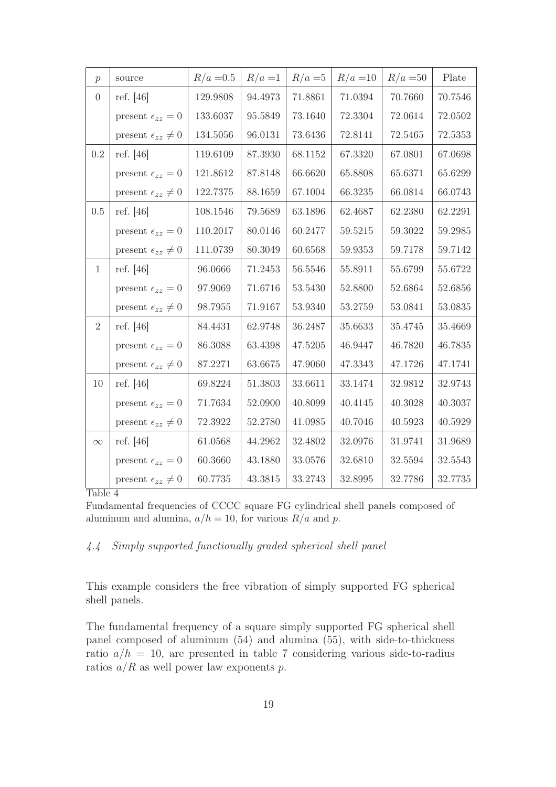| $\mathcal{p}$  | source                         | $R/a = 0.5$ | $R/a=1$ | $R/a = 5$ | $R/a = 10$ | $R/a = 50$ | Plate   |
|----------------|--------------------------------|-------------|---------|-----------|------------|------------|---------|
| $\overline{0}$ | ref. $[46]$                    | 129.9808    | 94.4973 | 71.8861   | 71.0394    | 70.7660    | 70.7546 |
|                | present $\epsilon_{zz} = 0$    | 133.6037    | 95.5849 | 73.1640   | 72.3304    | 72.0614    | 72.0502 |
|                | present $\epsilon_{zz} \neq 0$ | 134.5056    | 96.0131 | 73.6436   | 72.8141    | 72.5465    | 72.5353 |
| 0.2            | ref. [46]                      | 119.6109    | 87.3930 | 68.1152   | 67.3320    | 67.0801    | 67.0698 |
|                | present $\epsilon_{zz} = 0$    | 121.8612    | 87.8148 | 66.6620   | 65.8808    | 65.6371    | 65.6299 |
|                | present $\epsilon_{zz} \neq 0$ | 122.7375    | 88.1659 | 67.1004   | 66.3235    | 66.0814    | 66.0743 |
| 0.5            | ref. $[46]$                    | 108.1546    | 79.5689 | 63.1896   | 62.4687    | 62.2380    | 62.2291 |
|                | present $\epsilon_{zz} = 0$    | 110.2017    | 80.0146 | 60.2477   | 59.5215    | 59.3022    | 59.2985 |
|                | present $\epsilon_{zz} \neq 0$ | 111.0739    | 80.3049 | 60.6568   | 59.9353    | 59.7178    | 59.7142 |
| $\mathbf{1}$   | ref. $[46]$                    | 96.0666     | 71.2453 | 56.5546   | 55.8911    | 55.6799    | 55.6722 |
|                | present $\epsilon_{zz} = 0$    | 97.9069     | 71.6716 | 53.5430   | 52.8800    | 52.6864    | 52.6856 |
|                | present $\epsilon_{zz} \neq 0$ | 98.7955     | 71.9167 | 53.9340   | 53.2759    | 53.0841    | 53.0835 |
| 2              | ref. $[46]$                    | 84.4431     | 62.9748 | 36.2487   | 35.6633    | 35.4745    | 35.4669 |
|                | present $\epsilon_{zz} = 0$    | 86.3088     | 63.4398 | 47.5205   | 46.9447    | 46.7820    | 46.7835 |
|                | present $\epsilon_{zz} \neq 0$ | 87.2271     | 63.6675 | 47.9060   | 47.3343    | 47.1726    | 47.1741 |
| 10             | ref. $[46]$                    | 69.8224     | 51.3803 | 33.6611   | 33.1474    | 32.9812    | 32.9743 |
|                | present $\epsilon_{zz} = 0$    | 71.7634     | 52.0900 | 40.8099   | 40.4145    | 40.3028    | 40.3037 |
|                | present $\epsilon_{zz} \neq 0$ | 72.3922     | 52.2780 | 41.0985   | 40.7046    | 40.5923    | 40.5929 |
| $\infty$       | ref. $[46]$                    | 61.0568     | 44.2962 | 32.4802   | 32.0976    | 31.9741    | 31.9689 |
|                | present $\epsilon_{zz} = 0$    | 60.3660     | 43.1880 | 33.0576   | 32.6810    | 32.5594    | 32.5543 |
|                | present $\epsilon_{zz} \neq 0$ | 60.7735     | 43.3815 | 33.2743   | 32.8995    | 32.7786    | 32.7735 |

Fundamental frequencies of CCCC square FG cylindrical shell panels composed of aluminum and alumina,  $a/h = 10$ , for various  $R/a$  and p.

# 4.4 Simply supported functionally graded spherical shell panel

This example considers the free vibration of simply supported FG spherical shell panels.

The fundamental frequency of a square simply supported FG spherical shell panel composed of aluminum (54) and alumina (55), with side-to-thickness ratio  $a/h = 10$ , are presented in table 7 considering various side-to-radius ratios  $a/R$  as well power law exponents p.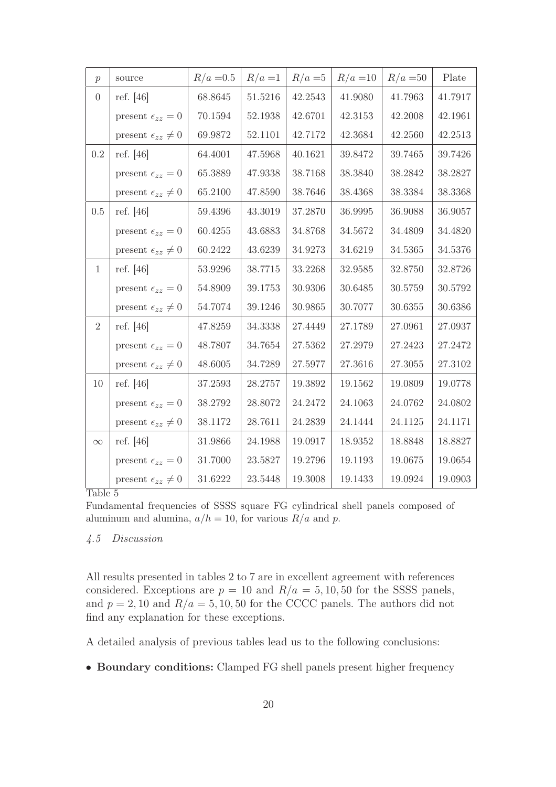| $\mathcal{p}$  | source                         | $R/a = 0.5$ | $R/a = 1$ | $R/a = 5$ | $R/a = 10$ | $R/a = 50$ | Plate   |
|----------------|--------------------------------|-------------|-----------|-----------|------------|------------|---------|
| $\Omega$       | ref. $[46]$                    | 68.8645     | 51.5216   | 42.2543   | 41.9080    | 41.7963    | 41.7917 |
|                | present $\epsilon_{zz} = 0$    | 70.1594     | 52.1938   | 42.6701   | 42.3153    | 42.2008    | 42.1961 |
|                | present $\epsilon_{zz} \neq 0$ | 69.9872     | 52.1101   | 42.7172   | 42.3684    | 42.2560    | 42.2513 |
| 0.2            | ref. $[46]$                    | 64.4001     | 47.5968   | 40.1621   | 39.8472    | 39.7465    | 39.7426 |
|                | present $\epsilon_{zz}=0$      | 65.3889     | 47.9338   | 38.7168   | 38.3840    | 38.2842    | 38.2827 |
|                | present $\epsilon_{zz} \neq 0$ | 65.2100     | 47.8590   | 38.7646   | 38.4368    | 38.3384    | 38.3368 |
| 0.5            | ref. $[46]$                    | 59.4396     | 43.3019   | 37.2870   | 36.9995    | 36.9088    | 36.9057 |
|                | present $\epsilon_{zz} = 0$    | 60.4255     | 43.6883   | 34.8768   | 34.5672    | 34.4809    | 34.4820 |
|                | present $\epsilon_{zz} \neq 0$ | 60.2422     | 43.6239   | 34.9273   | 34.6219    | 34.5365    | 34.5376 |
| $\mathbf{1}$   | ref. [46]                      | 53.9296     | 38.7715   | 33.2268   | 32.9585    | 32.8750    | 32.8726 |
|                | present $\epsilon_{zz} = 0$    | 54.8909     | 39.1753   | 30.9306   | 30.6485    | 30.5759    | 30.5792 |
|                | present $\epsilon_{zz} \neq 0$ | 54.7074     | 39.1246   | 30.9865   | 30.7077    | 30.6355    | 30.6386 |
| $\overline{2}$ | ref. [46]                      | 47.8259     | 34.3338   | 27.4449   | 27.1789    | 27.0961    | 27.0937 |
|                | present $\epsilon_{zz} = 0$    | 48.7807     | 34.7654   | 27.5362   | 27.2979    | 27.2423    | 27.2472 |
|                | present $\epsilon_{zz} \neq 0$ | 48.6005     | 34.7289   | 27.5977   | 27.3616    | 27.3055    | 27.3102 |
| 10             | ref. $[46]$                    | 37.2593     | 28.2757   | 19.3892   | 19.1562    | 19.0809    | 19.0778 |
|                | present $\epsilon_{zz} = 0$    | 38.2792     | 28.8072   | 24.2472   | 24.1063    | 24.0762    | 24.0802 |
|                | present $\epsilon_{zz} \neq 0$ | 38.1172     | 28.7611   | 24.2839   | 24.1444    | 24.1125    | 24.1171 |
| $\infty$       | ref. [46]                      | 31.9866     | 24.1988   | 19.0917   | 18.9352    | 18.8848    | 18.8827 |
|                | present $\epsilon_{zz} = 0$    | $31.7000\,$ | 23.5827   | 19.2796   | 19.1193    | 19.0675    | 19.0654 |
|                | present $\epsilon_{zz} \neq 0$ | 31.6222     | 23.5448   | 19.3008   | 19.1433    | 19.0924    | 19.0903 |

Fundamental frequencies of SSSS square FG cylindrical shell panels composed of aluminum and alumina,  $a/h = 10$ , for various  $R/a$  and p.

# 4.5 Discussion

All results presented in tables 2 to 7 are in excellent agreement with references considered. Exceptions are  $p = 10$  and  $R/a = 5, 10, 50$  for the SSSS panels, and  $p = 2, 10$  and  $R/a = 5, 10, 50$  for the CCCC panels. The authors did not find any explanation for these exceptions.

A detailed analysis of previous tables lead us to the following conclusions:

• Boundary conditions: Clamped FG shell panels present higher frequency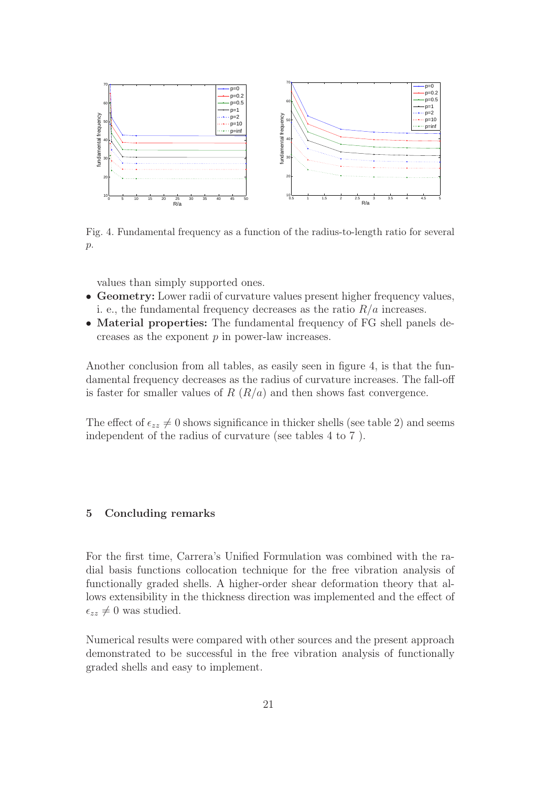

Fig. 4. Fundamental frequency as a function of the radius-to-length ratio for several  $p$ .

values than simply supported ones.

- Geometry: Lower radii of curvature values present higher frequency values, i. e., the fundamental frequency decreases as the ratio  $R/a$  increases.
- Material properties: The fundamental frequency of FG shell panels decreases as the exponent  $p$  in power-law increases.

Another conclusion from all tables, as easily seen in figure 4, is that the fundamental frequency decreases as the radius of curvature increases. The fall-off is faster for smaller values of  $R(R/a)$  and then shows fast convergence.

The effect of  $\epsilon_{zz} \neq 0$  shows significance in thicker shells (see table 2) and seems independent of the radius of curvature (see tables 4 to 7 ).

#### 5 Concluding remarks

For the first time, Carrera's Unified Formulation was combined with the radial basis functions collocation technique for the free vibration analysis of functionally graded shells. A higher-order shear deformation theory that allows extensibility in the thickness direction was implemented and the effect of  $\epsilon_{zz} \neq 0$  was studied.

Numerical results were compared with other sources and the present approach demonstrated to be successful in the free vibration analysis of functionally graded shells and easy to implement.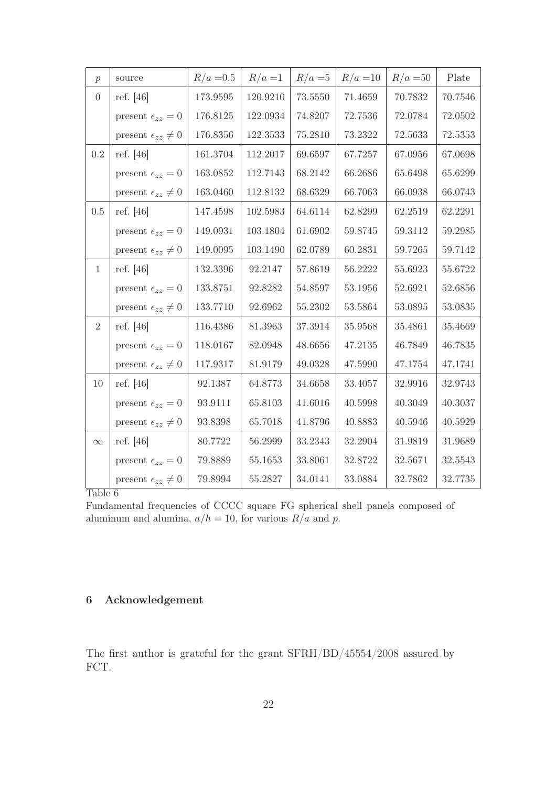| $\mathcal{p}$  | source                         | $R/a = 0.5$ | $R/a=1$     | $R/a = 5$ | $R/a = 10$ | $R/a = 50$ | Plate   |
|----------------|--------------------------------|-------------|-------------|-----------|------------|------------|---------|
| $\overline{0}$ | ref. $[46]$                    | 173.9595    | 120.9210    | 73.5550   | 71.4659    | 70.7832    | 70.7546 |
|                | present $\epsilon_{zz}=0$      | 176.8125    | 122.0934    | 74.8207   | 72.7536    | 72.0784    | 72.0502 |
|                | present $\epsilon_{zz} \neq 0$ | 176.8356    | 122.3533    | 75.2810   | 73.2322    | 72.5633    | 72.5353 |
| 0.2            | ref. $[46]$                    | 161.3704    | 112.2017    | 69.6597   | 67.7257    | 67.0956    | 67.0698 |
|                | present $\epsilon_{zz} = 0$    | 163.0852    | 112.7143    | 68.2142   | 66.2686    | 65.6498    | 65.6299 |
|                | present $\epsilon_{zz} \neq 0$ | 163.0460    | 112.8132    | 68.6329   | 66.7063    | 66.0938    | 66.0743 |
| 0.5            | ref. [46]                      | 147.4598    | 102.5983    | 64.6114   | 62.8299    | 62.2519    | 62.2291 |
|                | present $\epsilon_{zz} = 0$    | 149.0931    | 103.1804    | 61.6902   | 59.8745    | 59.3112    | 59.2985 |
|                | present $\epsilon_{zz} \neq 0$ | 149.0095    | 103.1490    | 62.0789   | 60.2831    | 59.7265    | 59.7142 |
| $\mathbf{1}$   | ref. [46]                      | 132.3396    | 92.2147     | 57.8619   | 56.2222    | 55.6923    | 55.6722 |
|                | present $\epsilon_{zz} = 0$    | 133.8751    | 92.8282     | 54.8597   | 53.1956    | 52.6921    | 52.6856 |
|                | present $\epsilon_{zz} \neq 0$ | 133.7710    | 92.6962     | 55.2302   | 53.5864    | 53.0895    | 53.0835 |
| $\overline{2}$ | ref. [46]                      | 116.4386    | 81.3963     | 37.3914   | 35.9568    | 35.4861    | 35.4669 |
|                | present $\epsilon_{zz} = 0$    | 118.0167    | 82.0948     | 48.6656   | 47.2135    | 46.7849    | 46.7835 |
|                | present $\epsilon_{zz} \neq 0$ | 117.9317    | 81.9179     | 49.0328   | 47.5990    | 47.1754    | 47.1741 |
| 10             | ref. $[46]$                    | 92.1387     | 64.8773     | 34.6658   | 33.4057    | 32.9916    | 32.9743 |
|                | present $\epsilon_{zz} = 0$    | 93.9111     | 65.8103     | 41.6016   | 40.5998    | 40.3049    | 40.3037 |
|                | present $\epsilon_{zz} \neq 0$ | 93.8398     | 65.7018     | 41.8796   | 40.8883    | 40.5946    | 40.5929 |
| $\infty$       | ref. $[46]$                    | 80.7722     | 56.2999     | 33.2343   | 32.2904    | 31.9819    | 31.9689 |
|                | present $\epsilon_{zz} = 0$    | 79.8889     | $55.1653\,$ | 33.8061   | 32.8722    | 32.5671    | 32.5543 |
|                | present $\epsilon_{zz} \neq 0$ | 79.8994     | 55.2827     | 34.0141   | 33.0884    | 32.7862    | 32.7735 |

Fundamental frequencies of CCCC square FG spherical shell panels composed of aluminum and alumina,  $a/h = 10$ , for various  $R/a$  and p.

# 6 Acknowledgement

The first author is grateful for the grant SFRH/BD/45554/2008 assured by FCT.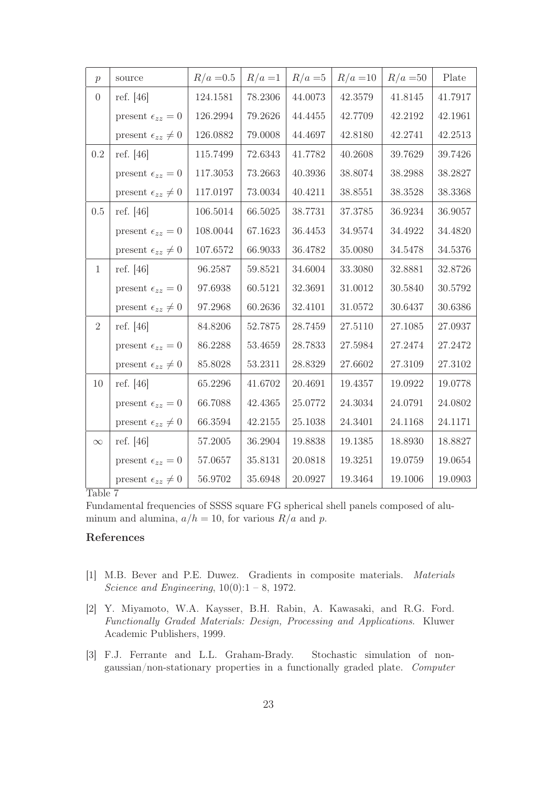| $\mathcal{p}$  | source                         | $R/a = 0.5$ | $R/a=1$ | $R/a = 5$ | $R/a = 10$ | $R/a = 50$ | Plate   |
|----------------|--------------------------------|-------------|---------|-----------|------------|------------|---------|
| $\overline{0}$ | ref. [46]                      | 124.1581    | 78.2306 | 44.0073   | 42.3579    | 41.8145    | 41.7917 |
|                | present $\epsilon_{zz} = 0$    | 126.2994    | 79.2626 | 44.4455   | 42.7709    | 42.2192    | 42.1961 |
|                | present $\epsilon_{zz} \neq 0$ | 126.0882    | 79.0008 | 44.4697   | 42.8180    | 42.2741    | 42.2513 |
| 0.2            | ref. $[46]$                    | 115.7499    | 72.6343 | 41.7782   | 40.2608    | 39.7629    | 39.7426 |
|                | present $\epsilon_{zz}=0$      | 117.3053    | 73.2663 | 40.3936   | 38.8074    | 38.2988    | 38.2827 |
|                | present $\epsilon_{zz} \neq 0$ | 117.0197    | 73.0034 | 40.4211   | 38.8551    | 38.3528    | 38.3368 |
| 0.5            | ref. $[46]$                    | 106.5014    | 66.5025 | 38.7731   | 37.3785    | 36.9234    | 36.9057 |
|                | present $\epsilon_{zz} = 0$    | 108.0044    | 67.1623 | 36.4453   | 34.9574    | 34.4922    | 34.4820 |
|                | present $\epsilon_{zz} \neq 0$ | 107.6572    | 66.9033 | 36.4782   | 35.0080    | 34.5478    | 34.5376 |
| $\mathbf{1}$   | ref. $[46]$                    | 96.2587     | 59.8521 | 34.6004   | 33.3080    | 32.8881    | 32.8726 |
|                | present $\epsilon_{zz} = 0$    | 97.6938     | 60.5121 | 32.3691   | 31.0012    | 30.5840    | 30.5792 |
|                | present $\epsilon_{zz} \neq 0$ | 97.2968     | 60.2636 | 32.4101   | 31.0572    | 30.6437    | 30.6386 |
| $\overline{2}$ | ref. [46]                      | 84.8206     | 52.7875 | 28.7459   | 27.5110    | 27.1085    | 27.0937 |
|                | present $\epsilon_{zz}=0$      | 86.2288     | 53.4659 | 28.7833   | 27.5984    | 27.2474    | 27.2472 |
|                | present $\epsilon_{zz} \neq 0$ | 85.8028     | 53.2311 | 28.8329   | 27.6602    | 27.3109    | 27.3102 |
| 10             | ref. $[46]$                    | 65.2296     | 41.6702 | 20.4691   | 19.4357    | 19.0922    | 19.0778 |
|                | present $\epsilon_{zz} = 0$    | 66.7088     | 42.4365 | 25.0772   | 24.3034    | 24.0791    | 24.0802 |
|                | present $\epsilon_{zz} \neq 0$ | 66.3594     | 42.2155 | 25.1038   | 24.3401    | 24.1168    | 24.1171 |
| $\infty$       | ref. $[46]$                    | 57.2005     | 36.2904 | 19.8838   | 19.1385    | 18.8930    | 18.8827 |
|                | present $\epsilon_{zz}=0$      | 57.0657     | 35.8131 | 20.0818   | 19.3251    | 19.0759    | 19.0654 |
|                | present $\epsilon_{zz} \neq 0$ | 56.9702     | 35.6948 | 20.0927   | 19.3464    | 19.1006    | 19.0903 |

Fundamental frequencies of SSSS square FG spherical shell panels composed of aluminum and alumina,  $a/h = 10$ , for various  $R/a$  and p.

## References

- [1] M.B. Bever and P.E. Duwez. Gradients in composite materials. Materials Science and Engineering,  $10(0)$ :1 – 8, 1972.
- [2] Y. Miyamoto, W.A. Kaysser, B.H. Rabin, A. Kawasaki, and R.G. Ford. Functionally Graded Materials: Design, Processing and Applications. Kluwer Academic Publishers, 1999.
- [3] F.J. Ferrante and L.L. Graham-Brady. Stochastic simulation of nongaussian/non-stationary properties in a functionally graded plate. Computer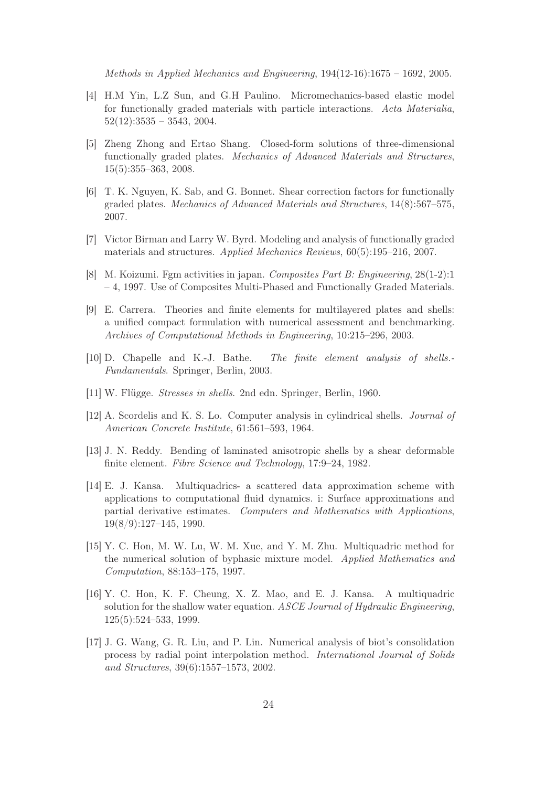Methods in Applied Mechanics and Engineering, 194(12-16):1675 – 1692, 2005.

- [4] H.M Yin, L.Z Sun, and G.H Paulino. Micromechanics-based elastic model for functionally graded materials with particle interactions. Acta Materialia,  $52(12):3535 - 3543, 2004.$
- [5] Zheng Zhong and Ertao Shang. Closed-form solutions of three-dimensional functionally graded plates. Mechanics of Advanced Materials and Structures, 15(5):355–363, 2008.
- [6] T. K. Nguyen, K. Sab, and G. Bonnet. Shear correction factors for functionally graded plates. Mechanics of Advanced Materials and Structures, 14(8):567–575, 2007.
- [7] Victor Birman and Larry W. Byrd. Modeling and analysis of functionally graded materials and structures. Applied Mechanics Reviews, 60(5):195–216, 2007.
- [8] M. Koizumi. Fgm activities in japan. Composites Part B: Engineering, 28(1-2):1 – 4, 1997. Use of Composites Multi-Phased and Functionally Graded Materials.
- [9] E. Carrera. Theories and finite elements for multilayered plates and shells: a unified compact formulation with numerical assessment and benchmarking. Archives of Computational Methods in Engineering, 10:215–296, 2003.
- [10] D. Chapelle and K.-J. Bathe. The finite element analysis of shells.- Fundamentals. Springer, Berlin, 2003.
- [11] W. Flügge. *Stresses in shells*. 2nd edn. Springer, Berlin, 1960.
- [12] A. Scordelis and K. S. Lo. Computer analysis in cylindrical shells. Journal of American Concrete Institute, 61:561–593, 1964.
- [13] J. N. Reddy. Bending of laminated anisotropic shells by a shear deformable finite element. Fibre Science and Technology, 17:9–24, 1982.
- [14] E. J. Kansa. Multiquadrics- a scattered data approximation scheme with applications to computational fluid dynamics. i: Surface approximations and partial derivative estimates. Computers and Mathematics with Applications, 19(8/9):127–145, 1990.
- [15] Y. C. Hon, M. W. Lu, W. M. Xue, and Y. M. Zhu. Multiquadric method for the numerical solution of byphasic mixture model. Applied Mathematics and Computation, 88:153–175, 1997.
- [16] Y. C. Hon, K. F. Cheung, X. Z. Mao, and E. J. Kansa. A multiquadric solution for the shallow water equation. ASCE Journal of Hydraulic Engineering, 125(5):524–533, 1999.
- [17] J. G. Wang, G. R. Liu, and P. Lin. Numerical analysis of biot's consolidation process by radial point interpolation method. International Journal of Solids and Structures, 39(6):1557–1573, 2002.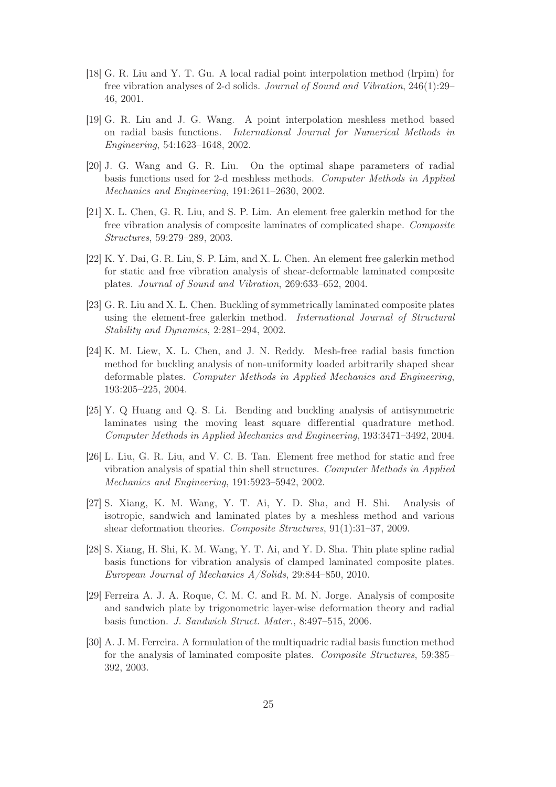- [18] G. R. Liu and Y. T. Gu. A local radial point interpolation method (lrpim) for free vibration analyses of 2-d solids. Journal of Sound and Vibration, 246(1):29– 46, 2001.
- [19] G. R. Liu and J. G. Wang. A point interpolation meshless method based on radial basis functions. International Journal for Numerical Methods in Engineering, 54:1623–1648, 2002.
- [20] J. G. Wang and G. R. Liu. On the optimal shape parameters of radial basis functions used for 2-d meshless methods. Computer Methods in Applied Mechanics and Engineering, 191:2611–2630, 2002.
- [21] X. L. Chen, G. R. Liu, and S. P. Lim. An element free galerkin method for the free vibration analysis of composite laminates of complicated shape. Composite Structures, 59:279–289, 2003.
- [22] K. Y. Dai, G. R. Liu, S. P. Lim, and X. L. Chen. An element free galerkin method for static and free vibration analysis of shear-deformable laminated composite plates. Journal of Sound and Vibration, 269:633–652, 2004.
- [23] G. R. Liu and X. L. Chen. Buckling of symmetrically laminated composite plates using the element-free galerkin method. International Journal of Structural Stability and Dynamics, 2:281–294, 2002.
- [24] K. M. Liew, X. L. Chen, and J. N. Reddy. Mesh-free radial basis function method for buckling analysis of non-uniformity loaded arbitrarily shaped shear deformable plates. Computer Methods in Applied Mechanics and Engineering, 193:205–225, 2004.
- [25] Y. Q Huang and Q. S. Li. Bending and buckling analysis of antisymmetric laminates using the moving least square differential quadrature method. Computer Methods in Applied Mechanics and Engineering, 193:3471–3492, 2004.
- [26] L. Liu, G. R. Liu, and V. C. B. Tan. Element free method for static and free vibration analysis of spatial thin shell structures. Computer Methods in Applied Mechanics and Engineering, 191:5923–5942, 2002.
- [27] S. Xiang, K. M. Wang, Y. T. Ai, Y. D. Sha, and H. Shi. Analysis of isotropic, sandwich and laminated plates by a meshless method and various shear deformation theories. Composite Structures, 91(1):31–37, 2009.
- [28] S. Xiang, H. Shi, K. M. Wang, Y. T. Ai, and Y. D. Sha. Thin plate spline radial basis functions for vibration analysis of clamped laminated composite plates. European Journal of Mechanics A/Solids, 29:844–850, 2010.
- [29] Ferreira A. J. A. Roque, C. M. C. and R. M. N. Jorge. Analysis of composite and sandwich plate by trigonometric layer-wise deformation theory and radial basis function. J. Sandwich Struct. Mater., 8:497–515, 2006.
- [30] A. J. M. Ferreira. A formulation of the multiquadric radial basis function method for the analysis of laminated composite plates. Composite Structures, 59:385– 392, 2003.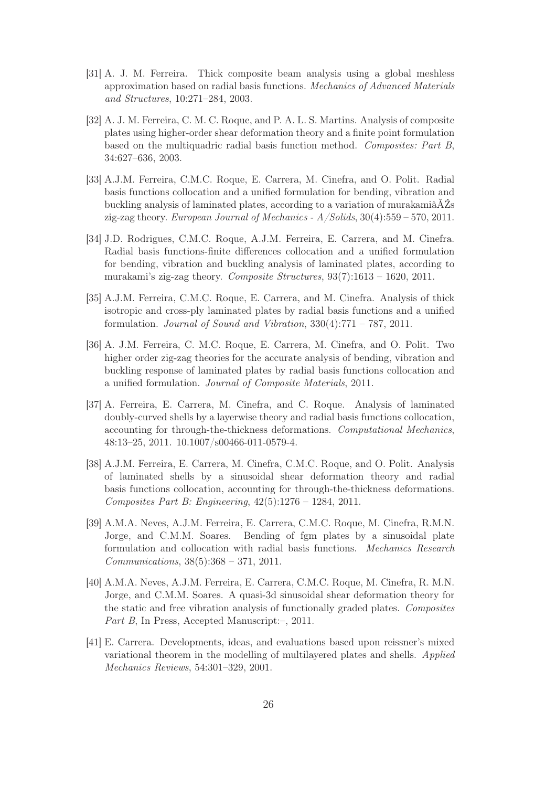- [31] A. J. M. Ferreira. Thick composite beam analysis using a global meshless approximation based on radial basis functions. Mechanics of Advanced Materials and Structures, 10:271–284, 2003.
- [32] A. J. M. Ferreira, C. M. C. Roque, and P. A. L. S. Martins. Analysis of composite plates using higher-order shear deformation theory and a finite point formulation based on the multiquadric radial basis function method. Composites: Part B, 34:627–636, 2003.
- [33] A.J.M. Ferreira, C.M.C. Roque, E. Carrera, M. Cinefra, and O. Polit. Radial basis functions collocation and a unified formulation for bending, vibration and buckling analysis of laminated plates, according to a variation of murakamiâĂŹs zig-zag theory. European Journal of Mechanics - A/Solids, 30(4):559 – 570, 2011.
- [34] J.D. Rodrigues, C.M.C. Roque, A.J.M. Ferreira, E. Carrera, and M. Cinefra. Radial basis functions-finite differences collocation and a unified formulation for bending, vibration and buckling analysis of laminated plates, according to murakami's zig-zag theory. Composite Structures, 93(7):1613 – 1620, 2011.
- [35] A.J.M. Ferreira, C.M.C. Roque, E. Carrera, and M. Cinefra. Analysis of thick isotropic and cross-ply laminated plates by radial basis functions and a unified formulation. Journal of Sound and Vibration, 330(4):771 – 787, 2011.
- [36] A. J.M. Ferreira, C. M.C. Roque, E. Carrera, M. Cinefra, and O. Polit. Two higher order zig-zag theories for the accurate analysis of bending, vibration and buckling response of laminated plates by radial basis functions collocation and a unified formulation. Journal of Composite Materials, 2011.
- [37] A. Ferreira, E. Carrera, M. Cinefra, and C. Roque. Analysis of laminated doubly-curved shells by a layerwise theory and radial basis functions collocation, accounting for through-the-thickness deformations. Computational Mechanics, 48:13–25, 2011. 10.1007/s00466-011-0579-4.
- [38] A.J.M. Ferreira, E. Carrera, M. Cinefra, C.M.C. Roque, and O. Polit. Analysis of laminated shells by a sinusoidal shear deformation theory and radial basis functions collocation, accounting for through-the-thickness deformations. Composites Part B: Engineering, 42(5):1276 – 1284, 2011.
- [39] A.M.A. Neves, A.J.M. Ferreira, E. Carrera, C.M.C. Roque, M. Cinefra, R.M.N. Jorge, and C.M.M. Soares. Bending of fgm plates by a sinusoidal plate formulation and collocation with radial basis functions. Mechanics Research Communications, 38(5):368 – 371, 2011.
- [40] A.M.A. Neves, A.J.M. Ferreira, E. Carrera, C.M.C. Roque, M. Cinefra, R. M.N. Jorge, and C.M.M. Soares. A quasi-3d sinusoidal shear deformation theory for the static and free vibration analysis of functionally graded plates. Composites Part B, In Press, Accepted Manuscript:–, 2011.
- [41] E. Carrera. Developments, ideas, and evaluations based upon reissner's mixed variational theorem in the modelling of multilayered plates and shells. Applied Mechanics Reviews, 54:301–329, 2001.